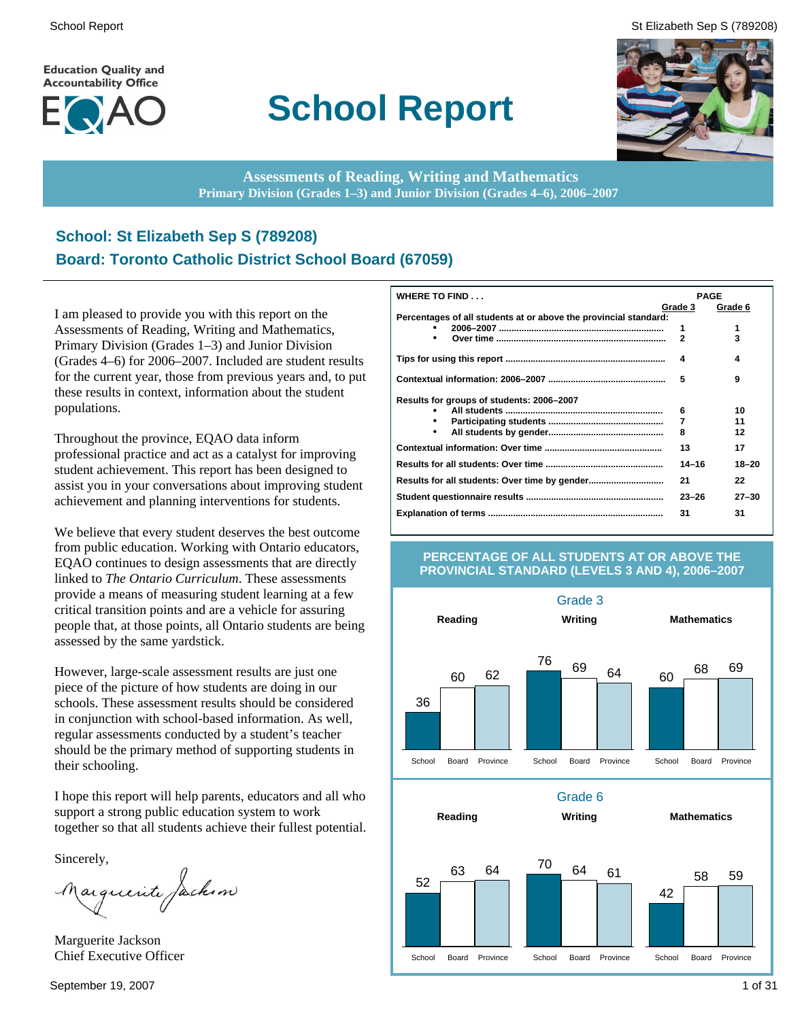**Education Quality and Accountability Office** 



# **School Report**

School Report St Elizabeth Sep S (789208)



**Assessments of Reading, Writing and Mathematics Primary Division (Grades 1–3) and Junior Division (Grades 4–6), 2006–2007**

### **School: St Elizabeth Sep S (789208) Board: Toronto Catholic District School Board (67059)**

I am pleased to provide you with this report on the Assessments of Reading, Writing and Mathematics, Primary Division (Grades 1–3) and Junior Division (Grades 4–6) for 2006–2007. Included are student results for the current year, those from previous years and, to put these results in context, information about the student populations.

Throughout the province, EQAO data inform professional practice and act as a catalyst for improving student achievement. This report has been designed to assist you in your conversations about improving student achievement and planning interventions for students.

We believe that every student deserves the best outcome from public education. Working with Ontario educators, EQAO continues to design assessments that are directly linked to *The Ontario Curriculum*. These assessments provide a means of measuring student learning at a few critical transition points and are a vehicle for assuring people that, at those points, all Ontario students are being assessed by the same yardstick.

However, large-scale assessment results are just one piece of the picture of how students are doing in our schools. These assessment results should be considered in conjunction with school-based information. As well, regular assessments conducted by a student's teacher should be the primary method of supporting students in their schooling.

I hope this report will help parents, educators and all who support a strong public education system to work together so that all students achieve their fullest potential.

Sincerely,

Marguerite Jackson

Marguerite Jackson Chief Executive Officer

| WHERE TO FIND                                                    |                | <b>PAGE</b> |
|------------------------------------------------------------------|----------------|-------------|
|                                                                  | Grade 3        | Grade 6     |
| Percentages of all students at or above the provincial standard: |                |             |
|                                                                  | 1              | 1           |
| $\bullet$                                                        | $\overline{2}$ | 3           |
|                                                                  | 4              | 4           |
|                                                                  | 5              | 9           |
| Results for groups of students: 2006-2007                        |                |             |
|                                                                  | 6              | 10          |
|                                                                  | 7              | 11          |
| $\bullet$                                                        | 8              | 12          |
|                                                                  | 13             | 17          |
|                                                                  | $14 - 16$      | 18-20       |
|                                                                  | 21             | 22          |
|                                                                  | $23 - 26$      | $27 - 30$   |
|                                                                  | 31             | 31          |

#### **PERCENTAGE OF ALL STUDENTS AT OR ABOVE THE PROVINCIAL STANDARD (LEVELS 3 AND 4), 2006–2007**

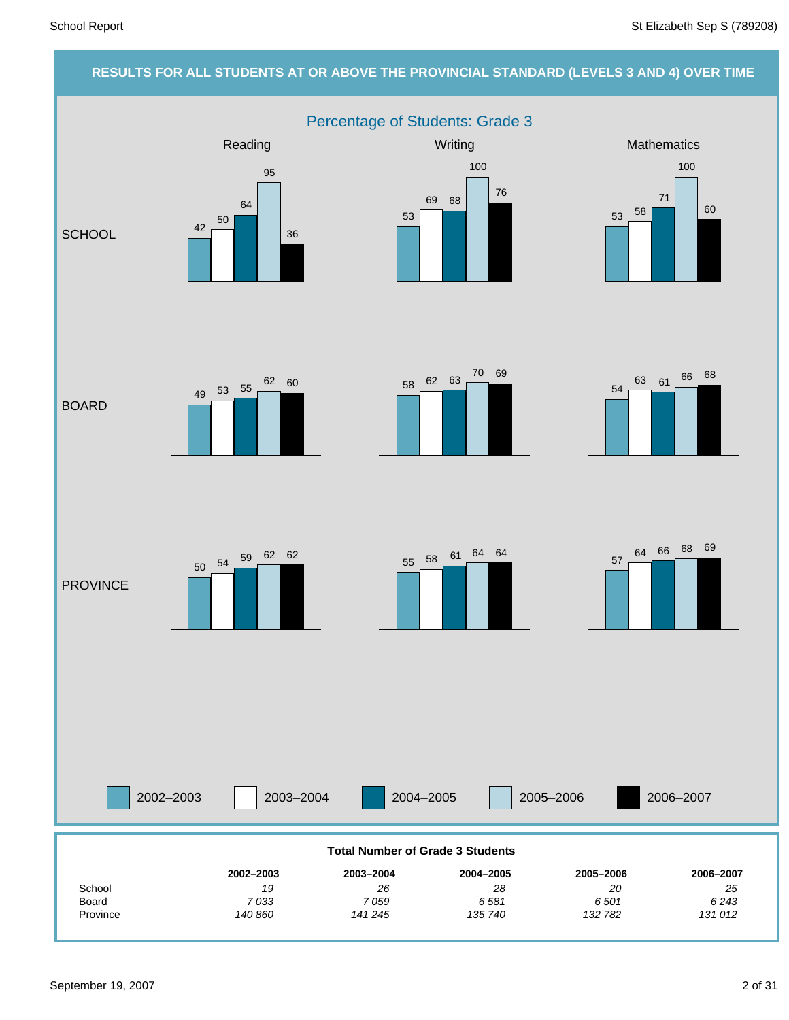#### **RESULTS FOR ALL STUDENTS AT OR ABOVE THE PROVINCIAL STANDARD (LEVELS 3 AND 4) OVER TIME** Percentage of Students: Grade 3 2002–2003 2003–2004 2004–2005 2005–2006 Reading Mathematics **Mathematics** Mathematics **Mathematics SCHOOL** BOARD **PROVINCE** 2006–2007 *6 243 25* **2006–2007** *6 501 20* **2005–2006** *6 581 28* **2004–2005** *7 059 26* **2003–2004** *7 033 19* **2002–2003** Board School **Total Number of Grade 3 Students** 42 50 64 95 36 53 69 68 100 76 <sup>53</sup> <sup>58</sup> 71 100 60 <sup>49</sup> <sup>53</sup> <sup>55</sup>  $62 \t60$   $58 \t62 \t63$   $70 \t69$ 54 <sup>63</sup> <sup>61</sup> <sup>66</sup> <sup>68</sup> 57 <sup>64</sup> <sup>66</sup> <sup>68</sup> <sup>69</sup> <sup>55</sup> <sup>58</sup> <sup>61</sup> <sup>64</sup> <sup>64</sup> <sup>50</sup> <sup>54</sup> <sup>59</sup> <sup>62</sup> <sup>62</sup>

Province

*131 012*

*132 782*

*135 740*

*141 245*

*140 860*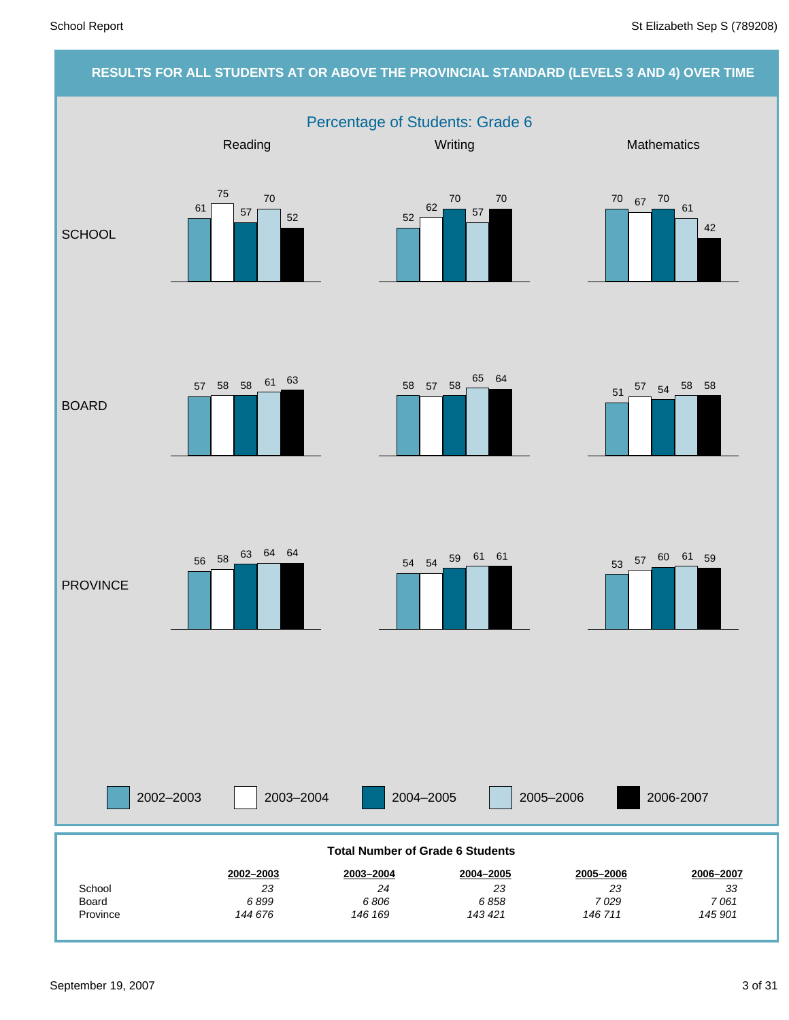### **RESULTS FOR ALL STUDENTS AT OR ABOVE THE PROVINCIAL STANDARD (LEVELS 3 AND 4) OVER TIME** Percentage of Students: Grade 6 2002–2003 2003–2004 2004–2005 2005–2006 Reading Mathematics **Mathematics** Mathematics **Mathematics SCHOOL** BOARD **PROVINCE** 2006-2007 *145 901 7 061 33* **2006–2007** *146 711 7 029 23* **2005–2006** *143 421 6 858 23* **2004–2005** *146 169 6 806 24* **2003–2004** *144 676 6 899 23* **2002–2003** Province Board **School Total Number of Grade 6 Students** 61 75 57 70 52 52 62 70 57 70 70 67 70 61 42  $57$  58 58 61 63 58 57 58 65 64 <sup>51</sup> <sup>57</sup> <sup>54</sup> <sup>58</sup> <sup>58</sup> <sup>53</sup> <sup>57</sup> <sup>60</sup> <sup>61</sup> <sup>59</sup> <sup>54</sup> <sup>54</sup> <sup>59</sup> <sup>61</sup> <sup>61</sup> <sup>56</sup> <sup>58</sup> <sup>63</sup> <sup>64</sup> <sup>64</sup>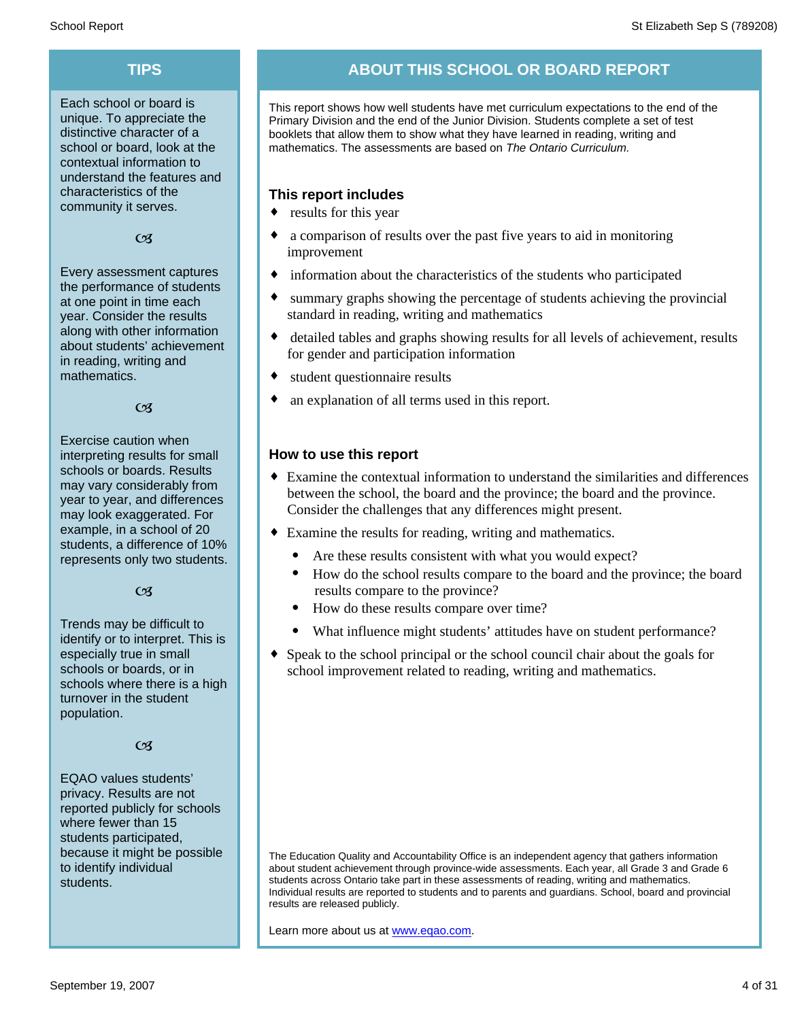Each school or board is unique. To appreciate the distinctive character of a school or board, look at the contextual information to understand the features and characteristics of the community it serves.

#### $C<sub>3</sub>$

Every assessment captures the performance of students at one point in time each year. Consider the results along with other information about students' achievement in reading, writing and mathematics.

 $\alpha$ 

Exercise caution when interpreting results for small schools or boards. Results may vary considerably from year to year, and differences may look exaggerated. For example, in a school of 20 students, a difference of 10% represents only two students.

 $C<sub>3</sub>$ 

Trends may be difficult to identify or to interpret. This is especially true in small schools or boards, or in schools where there is a high turnover in the student population.

#### $C<sub>3</sub>$

EQAO values students' privacy. Results are not reported publicly for schools where fewer than 15 students participated, because it might be possible to identify individual students.

### **TIPS ABOUT THIS SCHOOL OR BOARD REPORT**

This report shows how well students have met curriculum expectations to the end of the Primary Division and the end of the Junior Division. Students complete a set of test booklets that allow them to show what they have learned in reading, writing and mathematics. The assessments are based on *The Ontario Curriculum.*

#### **This report includes**

- $\bullet$  results for this year
- a comparison of results over the past five years to aid in monitoring improvement
- $\bullet$  information about the characteristics of the students who participated
- summary graphs showing the percentage of students achieving the provincial standard in reading, writing and mathematics
- detailed tables and graphs showing results for all levels of achievement, results for gender and participation information
- student questionnaire results
- an explanation of all terms used in this report.

#### **How to use this report**

- ¨ Examine the contextual information to understand the similarities and differences between the school, the board and the province; the board and the province. Consider the challenges that any differences might present.
- Examine the results for reading, writing and mathematics.
	- Are these results consistent with what you would expect?
	- · How do the school results compare to the board and the province; the board results compare to the province?
	- How do these results compare over time?
	- What influence might students' attitudes have on student performance?
- Speak to the school principal or the school council chair about the goals for school improvement related to reading, writing and mathematics.

The Education Quality and Accountability Office is an independent agency that gathers information about student achievement through province-wide assessments. Each year, all Grade 3 and Grade 6 students across Ontario take part in these assessments of reading, writing and mathematics. Individual results are reported to students and to parents and guardians. School, board and provincial results are released publicly.

Learn more about us at www.eqao.com.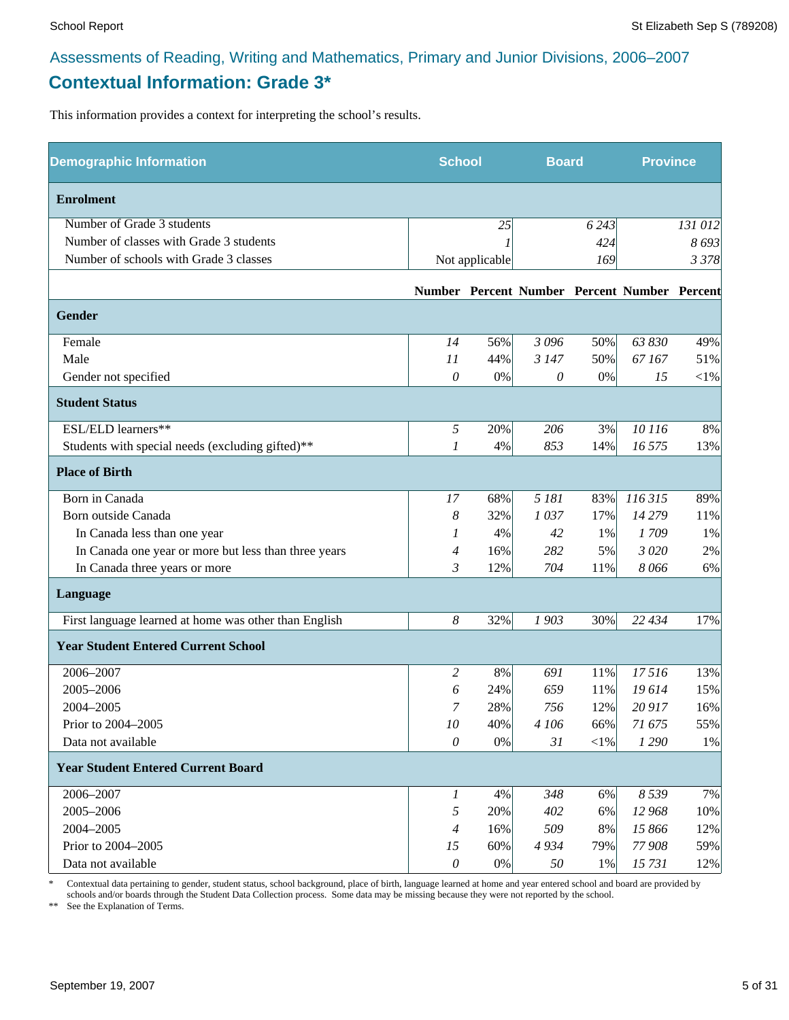### **Contextual Information: Grade 3\***

This information provides a context for interpreting the school's results.

| <b>Demographic Information</b>                        | <b>School</b>         |                | <b>Board</b> |         | <b>Province</b>                              |          |
|-------------------------------------------------------|-----------------------|----------------|--------------|---------|----------------------------------------------|----------|
| <b>Enrolment</b>                                      |                       |                |              |         |                                              |          |
| Number of Grade 3 students                            |                       | 25             |              | 6 2 4 3 |                                              | 131 012  |
| Number of classes with Grade 3 students               |                       |                |              | 424     |                                              | 8693     |
| Number of schools with Grade 3 classes                |                       | Not applicable |              | 169     |                                              | 3 3 7 8  |
|                                                       |                       |                |              |         | Number Percent Number Percent Number Percent |          |
| Gender                                                |                       |                |              |         |                                              |          |
| Female                                                | 14                    | 56%            | 3 0 9 6      | 50%     | 63 830                                       | 49%      |
| Male                                                  | 11                    | 44%            | 3 1 4 7      | 50%     | 67167                                        | 51%      |
| Gender not specified                                  | 0                     | $0\%$          | 0            | $0\%$   | 15                                           | ${<}1\%$ |
| <b>Student Status</b>                                 |                       |                |              |         |                                              |          |
| ESL/ELD learners**                                    | 5                     | 20%            | 206          | 3%      | 10 116                                       | 8%       |
| Students with special needs (excluding gifted)**      | 1                     | 4%             | 853          | 14%     | 16 575                                       | 13%      |
| <b>Place of Birth</b>                                 |                       |                |              |         |                                              |          |
| Born in Canada                                        | 17                    | 68%            | 5 181        | 83%     | 116 315                                      | 89%      |
| Born outside Canada                                   | 8                     | 32%            | 1037         | 17%     | 14 279                                       | 11%      |
| In Canada less than one year                          | 1                     | 4%             | 42           | 1%      | 1709                                         | 1%       |
| In Canada one year or more but less than three years  | 4                     | 16%            | 282          | 5%      | 3 0 20                                       | 2%       |
| In Canada three years or more                         | 3                     | 12%            | 704          | 11%     | 8066                                         | 6%       |
| Language                                              |                       |                |              |         |                                              |          |
| First language learned at home was other than English | 8                     | 32%            | 1903         | 30%     | 22 434                                       | 17%      |
| <b>Year Student Entered Current School</b>            |                       |                |              |         |                                              |          |
| 2006-2007                                             | 2                     | 8%             | 691          | 11%     | 17516                                        | 13%      |
| 2005-2006                                             | 6                     | 24%            | 659          | 11%     | 19614                                        | 15%      |
| 2004-2005                                             | 7                     | 28%            | 756          | 12%     | 20 917                                       | 16%      |
| Prior to 2004-2005                                    | 10                    | 40%            | 4 106        | 66%     | 71 675                                       | 55%      |
| Data not available                                    | $\mathcal O$          | 0%             | 31           | $<$ 1%  | 1 2 9 0                                      | 1%       |
| <b>Year Student Entered Current Board</b>             |                       |                |              |         |                                              |          |
| 2006-2007                                             | $\boldsymbol{l}$      | 4%             | 348          | 6%      | 8 5 3 9                                      | 7%       |
| 2005-2006                                             | 5                     | 20%            | 402          | 6%      | 12 968                                       | 10%      |
| 2004-2005                                             | $\overline{4}$        | 16%            | 509          | 8%      | 15 866                                       | 12%      |
| Prior to 2004-2005                                    | 15                    | 60%            | 4934         | 79%     | 77 908                                       | 59%      |
| Data not available                                    | $\boldsymbol{\theta}$ | $0\%$          | 50           | 1%      | 15731                                        | 12%      |

\* Contextual data pertaining to gender, student status, school background, place of birth, language learned at home and year entered school and board are provided by schools and/or boards through the Student Data Collection process. Some data may be missing because they were not reported by the school.

\*\* See the Explanation of Terms.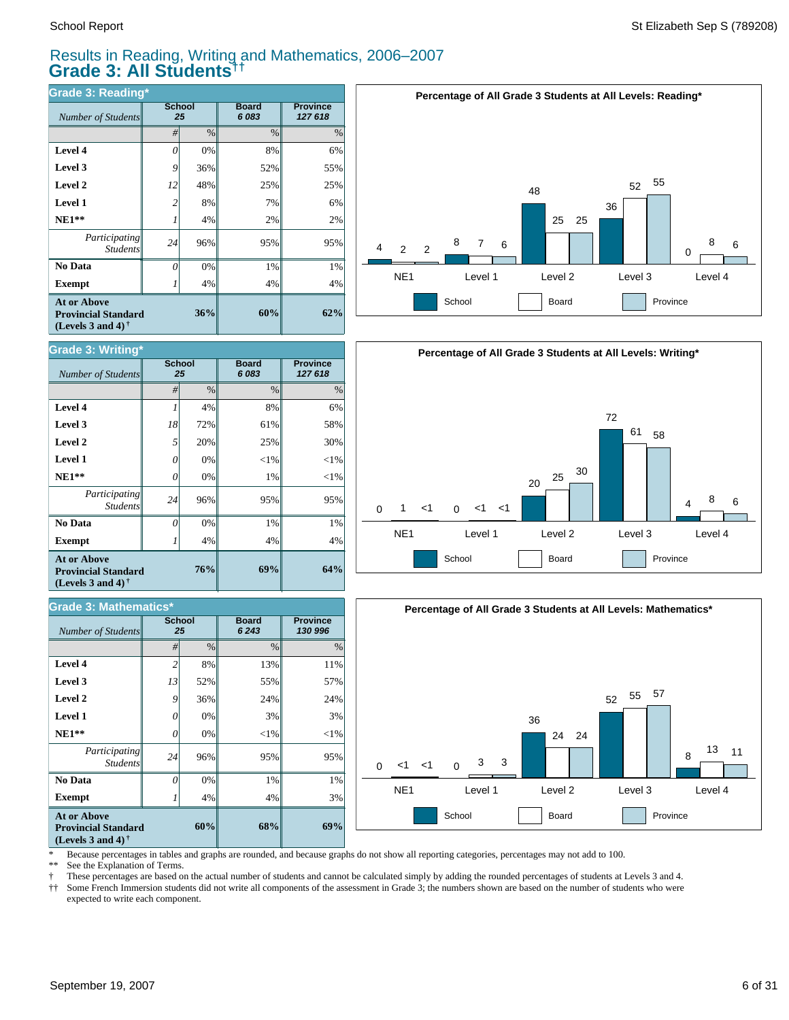$Number of Students$ 

**Grade 3: Writing\***

**Exempt**  $1$  1

*Number of Students 25*

**Grade 3: Mathematics\***

*Participating* Students

 **No Data**

**At or Above Provincial Standard (Levels 3 and 4) †**

 **NE1\*\* Level 1 Level 2 Level 3 Level 4**

#### Results in Reading, Writing and Mathematics, 2006–2007 **Grade 3: All Students††**

**Board** *6 083*

**69%**

**68%**

4% 1% 95%  $<$ 1% 3% 24% 55% 13%

**Board** *6 243*

4% 1% 95% 1%  $<$ 1% 25% 61% 8%

| <b>Grade 3: Reading*</b>                                                                                    |                |      |                       |                            |  |  |  |  |
|-------------------------------------------------------------------------------------------------------------|----------------|------|-----------------------|----------------------------|--|--|--|--|
| Number of Students                                                                                          | <b>School</b>  | 25   | <b>Board</b><br>6 083 | <b>Province</b><br>127 618 |  |  |  |  |
|                                                                                                             | #              | $\%$ | $\%$                  | $\%$                       |  |  |  |  |
| Level 4                                                                                                     | 0              | 0%   | 8%                    | 6%                         |  |  |  |  |
| Level 3                                                                                                     | 9              | 36%  | 52%                   | 55%                        |  |  |  |  |
| Level 2                                                                                                     | 12             | 48%  | 25%                   | 25%                        |  |  |  |  |
| Level 1                                                                                                     | $\overline{c}$ | 8%   | 7%                    | 6%                         |  |  |  |  |
| $NE1**$                                                                                                     |                | 4%   | 2%                    | 2%                         |  |  |  |  |
| Participating<br><b>Students</b>                                                                            | 24             | 96%  | 95%                   | 95%                        |  |  |  |  |
| No Data                                                                                                     | 0              | 0%   | 1%                    | 1%                         |  |  |  |  |
| <b>Exempt</b>                                                                                               |                | 4%   | 4%                    | 4%                         |  |  |  |  |
| <b>At or Above</b><br>36%<br><b>Provincial Standard</b><br>(Levels 3 and 4) <sup><math>\dagger</math></sup> |                |      | 60%                   | 62%                        |  |  |  |  |

**School**

**School**

**76%**

**60%**

4% 0% 96% 0% 0% 36% 52% 8%

4% 0% 96% 0% 0% 20% 72% 4%







**Provincial Standard (Levels 3 and 4) †**

\* Because percentages in tables and graphs are rounded, and because graphs do not show all reporting categories, percentages may not add to 100.

**69%**

3% 1% 95%  $<$ 1% 3%  $24%$ 57% 11%

**Province** *127 618*

**Province** *130 996*

30%

See the Explanation of Terms.

**Exempt** *1* 

*Participating Students*

 **No Data**

**At or Above**

 **NE1\*\* Level 1 Level 2 Level 3 Level 4**

† These percentages are based on the actual number of students and cannot be calculated simply by adding the rounded percentages of students at Levels 3 and 4.

Some French Immersion students did not write all components of the assessment in Grade 3; the numbers shown are based on the number of students who were expected to write each component.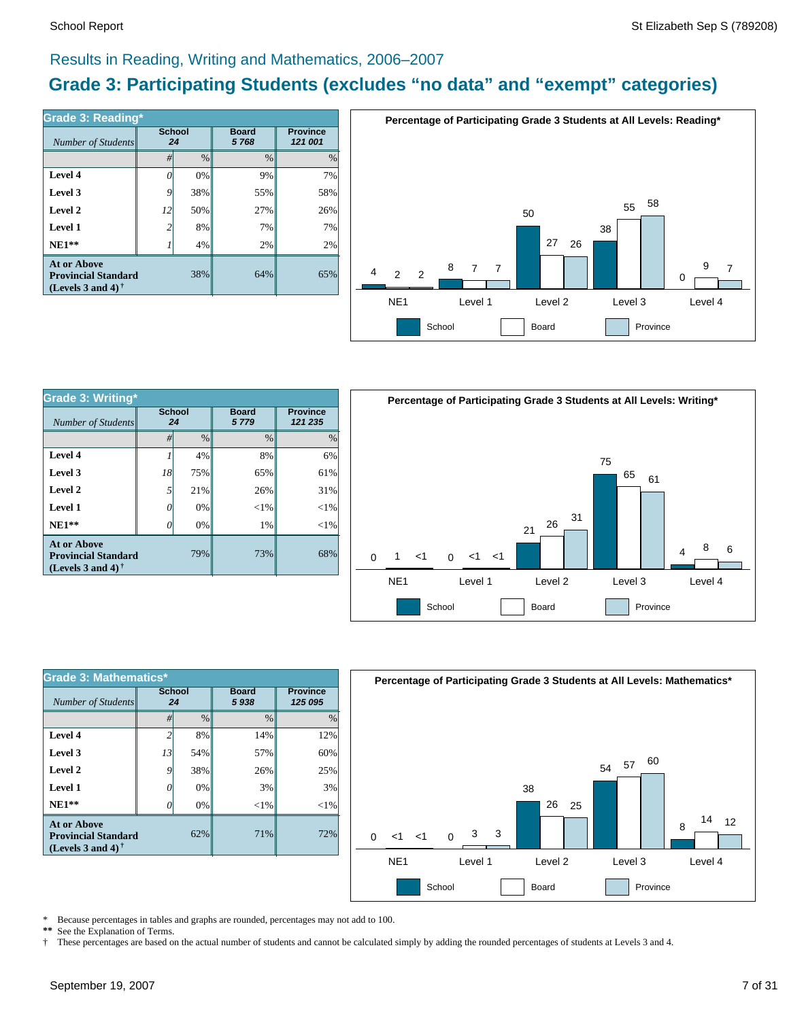#### Results in Reading, Writing and Mathematics, 2006–2007

### **Grade 3: Participating Students (excludes "no data" and "exempt" categories)**

| Number of Students                                                             | <b>School</b><br>24 |               | <b>Board</b><br>5768 | <b>Province</b><br>121 001 |  |
|--------------------------------------------------------------------------------|---------------------|---------------|----------------------|----------------------------|--|
|                                                                                | #                   | $\frac{0}{0}$ | $\frac{0}{0}$        | $\frac{0}{0}$              |  |
| Level 4                                                                        | ſ                   | 0%            | 9%                   | 7%                         |  |
| Level 3                                                                        | 9                   | 38%           | 55%                  | 58%                        |  |
| Level 2                                                                        | 12                  | 50%           | 27%                  | 26%                        |  |
| Level 1                                                                        | 2                   | 8%            | 7%                   | 7%                         |  |
| $NE1**$                                                                        |                     | 4%            | 2%                   | 2%                         |  |
| <b>At or Above</b><br><b>Provincial Standard</b><br>(Levels 3 and 4) $\dagger$ |                     | 38%           | 64%                  | 65%                        |  |



| <b>Grade 3: Writing*</b>                                                       |                     |               |                      |                            |  |  |  |  |
|--------------------------------------------------------------------------------|---------------------|---------------|----------------------|----------------------------|--|--|--|--|
| Number of Students                                                             | <b>School</b><br>24 |               | <b>Board</b><br>5779 | <b>Province</b><br>121 235 |  |  |  |  |
|                                                                                | #                   | $\frac{0}{0}$ | $\frac{0}{0}$        | $\frac{0}{0}$              |  |  |  |  |
| Level 4                                                                        |                     | 4%            | 8%                   | 6%                         |  |  |  |  |
| Level 3                                                                        | 18                  | 75%           | 65%                  | 61%                        |  |  |  |  |
| Level 2                                                                        | 5                   | 21%           | 26%                  | 31%                        |  |  |  |  |
| Level 1                                                                        | 0                   | 0%            | $<$ 1%               | $<$ 1%                     |  |  |  |  |
| $NE1**$                                                                        |                     | 0%            | 1%                   | $<$ 1%                     |  |  |  |  |
| <b>At or Above</b><br><b>Provincial Standard</b><br>(Levels 3 and 4) $\dagger$ |                     | 79%           | 73%                  | 68%                        |  |  |  |  |



| <b>Grade 3: Mathematics*</b>                                                                                |                          |               |                      |                            |  |  |  |  |  |
|-------------------------------------------------------------------------------------------------------------|--------------------------|---------------|----------------------|----------------------------|--|--|--|--|--|
| Number of Students                                                                                          | <b>School</b><br>24      |               | <b>Board</b><br>5938 | <b>Province</b><br>125 095 |  |  |  |  |  |
|                                                                                                             | #                        | $\frac{0}{0}$ | $\frac{0}{0}$        | $\frac{0}{0}$              |  |  |  |  |  |
| Level 4                                                                                                     | $\overline{\mathcal{L}}$ | 8%            | 14%                  | 12%                        |  |  |  |  |  |
| Level 3                                                                                                     | 13                       | 54%           | 57%                  | 60%                        |  |  |  |  |  |
| Level 2                                                                                                     | 9                        | 38%           | 26%                  | 25%                        |  |  |  |  |  |
| Level 1                                                                                                     | O                        | 0%            | 3%                   | 3%                         |  |  |  |  |  |
| $NE1**$                                                                                                     | Ω                        | 0%            | ${<}1\%$             | $<$ 1%                     |  |  |  |  |  |
| <b>At or Above</b><br>62%<br><b>Provincial Standard</b><br>(Levels 3 and 4) <sup><math>\dagger</math></sup> |                          |               | 71%                  | 72%                        |  |  |  |  |  |



\* Because percentages in tables and graphs are rounded, percentages may not add to 100.<br>\*\* See the Explanation of Terms See the Explanation of Terms.

† These percentages are based on the actual number of students and cannot be calculated simply by adding the rounded percentages of students at Levels 3 and 4.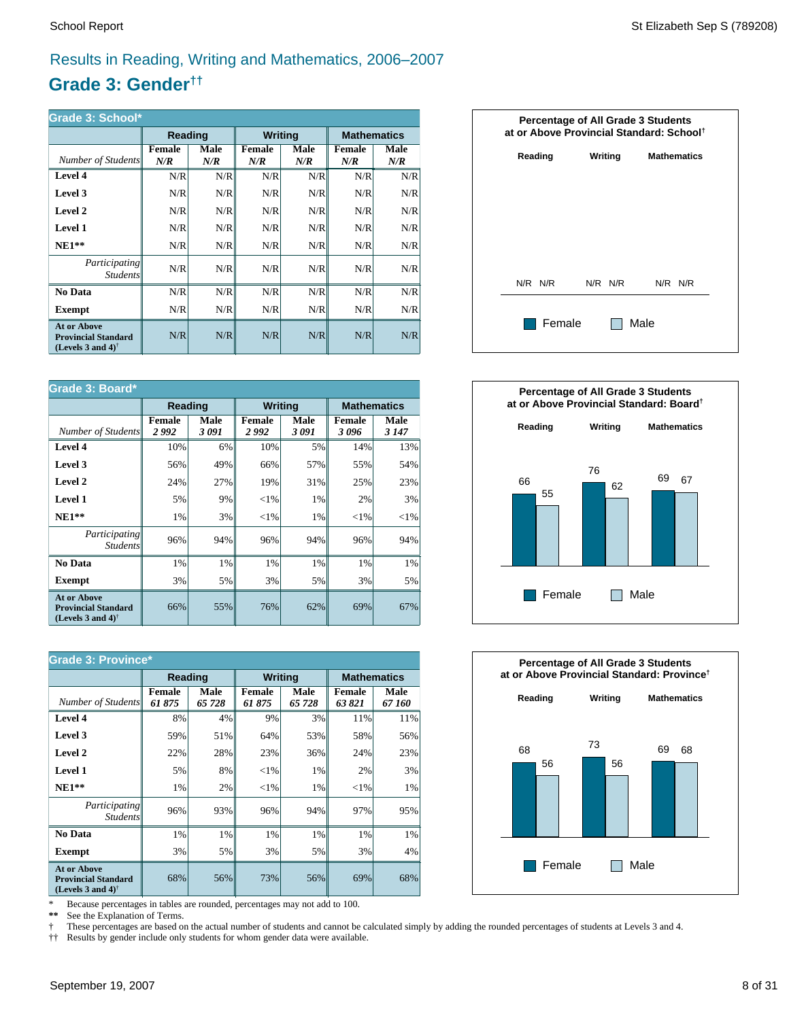### Results in Reading, Writing and Mathematics, 2006–2007

### **Grade 3: Gender††**

| Grade 3: School*                                                                                     |                      |             |                      |             |                    |             |  |  |
|------------------------------------------------------------------------------------------------------|----------------------|-------------|----------------------|-------------|--------------------|-------------|--|--|
|                                                                                                      | Reading              |             | <b>Writing</b>       |             | <b>Mathematics</b> |             |  |  |
| Number of Students                                                                                   | <b>Female</b><br>N/R | Male<br>N/R | <b>Female</b><br>N/R | Male<br>N/R | Female<br>N/R      | Male<br>N/R |  |  |
| Level 4                                                                                              | N/R                  | N/R         | N/R                  | N/R         | N/R                | N/R         |  |  |
| Level 3                                                                                              | N/R                  | N/R         | N/R                  | N/R         | N/R                | N/R         |  |  |
| Level 2                                                                                              | N/R                  | N/R         | N/R                  | N/R         | N/R                | N/R         |  |  |
| Level 1                                                                                              | N/R                  | N/R         | N/R                  | N/R         | N/R                | N/R         |  |  |
| $NE1**$                                                                                              | N/R                  | N/R         | N/R                  | N/R         | N/R                | N/R         |  |  |
| <i>Participating</i><br><i>Students</i>                                                              | N/R                  | N/R         | N/R                  | N/R         | N/R                | N/R         |  |  |
| No Data                                                                                              | N/R                  | N/R         | N/R                  | N/R         | N/R                | N/R         |  |  |
| Exempt                                                                                               | N/R                  | N/R         | N/R                  | N/R         | N/R                | N/R         |  |  |
| <b>At or Above</b><br><b>Provincial Standard</b><br>(Levels 3 and 4) <sup><math>\dagger</math></sup> | N/R                  | N/R         | N/R                  | N/R         | N/R                | N/R         |  |  |

| Grade 3: Board*                                                                |                       |              |                       |                |                       |                 |  |  |
|--------------------------------------------------------------------------------|-----------------------|--------------|-----------------------|----------------|-----------------------|-----------------|--|--|
|                                                                                | Reading               |              |                       | <b>Writing</b> | <b>Mathematics</b>    |                 |  |  |
| Number of Students                                                             | <b>Female</b><br>2992 | Male<br>3091 | <b>Female</b><br>2992 | Male<br>3091   | <b>Female</b><br>3096 | Male<br>3 1 4 7 |  |  |
| Level 4                                                                        | 10%                   | 6%           | 10%                   | 5%             | 14%                   | 13%             |  |  |
| Level 3                                                                        | 56%                   | 49%          | 66%                   | 57%            | 55%                   | 54%             |  |  |
| Level 2                                                                        | 24%                   | 27%          | 19%                   | 31%            | 25%                   | 23%             |  |  |
| <b>Level 1</b>                                                                 | 5%                    | 9%           | ${<}1\%$              | 1%             | 2%                    | 3%              |  |  |
| $NE1**$                                                                        | 1%                    | 3%           | ${<}1\%$              | 1%             | ${<}1\%$              | ${<}1\%$        |  |  |
| Participating<br><i>Students</i>                                               | 96%                   | 94%          | 96%                   | 94%            | 96%                   | 94%             |  |  |
| No Data                                                                        | $1\%$                 | 1%           | 1%                    | 1%             | 1%                    | 1%              |  |  |
| <b>Exempt</b>                                                                  | 3%                    | 5%           | 3%                    | 5%             | 3%                    | 5%              |  |  |
| <b>At or Above</b><br><b>Provincial Standard</b><br>(Levels 3 and 4) $\dagger$ | 66%                   | 55%          | 76%                   | 62%            | 69%                   | 67%             |  |  |

| <b>Grade 3: Province*</b>                                                      |                        |                |                         |                |                    |                |  |  |
|--------------------------------------------------------------------------------|------------------------|----------------|-------------------------|----------------|--------------------|----------------|--|--|
|                                                                                | Reading                |                | <b>Writing</b>          |                | <b>Mathematics</b> |                |  |  |
| Number of Students                                                             | <b>Female</b><br>61875 | Male<br>65 728 | <b>Female</b><br>61 875 | Male<br>65 728 | Female<br>63 821   | Male<br>67 160 |  |  |
| Level 4                                                                        | 8%                     | 4%             | 9%                      | 3%             | 11%                | 11%            |  |  |
| Level 3                                                                        | 59%                    | 51%            | 64%                     | 53%            | 58%                | 56%            |  |  |
| Level 2                                                                        | 22%                    | 28%            | 23%                     | 36%            | 24%                | 23%            |  |  |
| Level 1                                                                        | 5%                     | 8%             | ${<}1\%$                | 1%             | 2%                 | 3%             |  |  |
| $NE1**$                                                                        | 1%                     | 2%             | ${<}1\%$                | 1%             | ${<}1\%$           | 1%             |  |  |
| <i>Participating</i><br><i>Students</i>                                        | 96%                    | 93%            | 96%                     | 94%            | 97%                | 95%            |  |  |
| No Data                                                                        | 1%                     | 1%             | 1%                      | 1%             | 1%                 | $1\%$          |  |  |
| <b>Exempt</b>                                                                  | 3%                     | 5%             | 3%                      | 5%             | 3%                 | $4\%$          |  |  |
| <b>At or Above</b><br><b>Provincial Standard</b><br>(Levels 3 and 4) $\dagger$ | 68%                    | 56%            | 73%                     | 56%            | 69%                | 68%            |  |  |

\* Because percentages in tables are rounded, percentages may not add to 100.<br>\*\* See the Explanation of Terms.

See the Explanation of Terms.

† These percentages are based on the actual number of students and cannot be calculated simply by adding the rounded percentages of students at Levels 3 and 4.<br>†† Results by gender include only students for whom gender dat

†† Results by gender include only students for whom gender data were available.

| <b>Percentage of All Grade 3 Students</b><br>at or Above Provincial Standard: School <sup>†</sup> |  |         |      |                    |             |  |  |  |
|---------------------------------------------------------------------------------------------------|--|---------|------|--------------------|-------------|--|--|--|
| Writing<br>Reading                                                                                |  |         |      | <b>Mathematics</b> |             |  |  |  |
|                                                                                                   |  |         |      |                    |             |  |  |  |
|                                                                                                   |  |         |      |                    |             |  |  |  |
|                                                                                                   |  |         |      |                    |             |  |  |  |
| N/R N/R                                                                                           |  | N/R N/R |      |                    | $N/R$ $N/R$ |  |  |  |
| Female                                                                                            |  |         | Male |                    |             |  |  |  |
|                                                                                                   |  |         |      |                    |             |  |  |  |



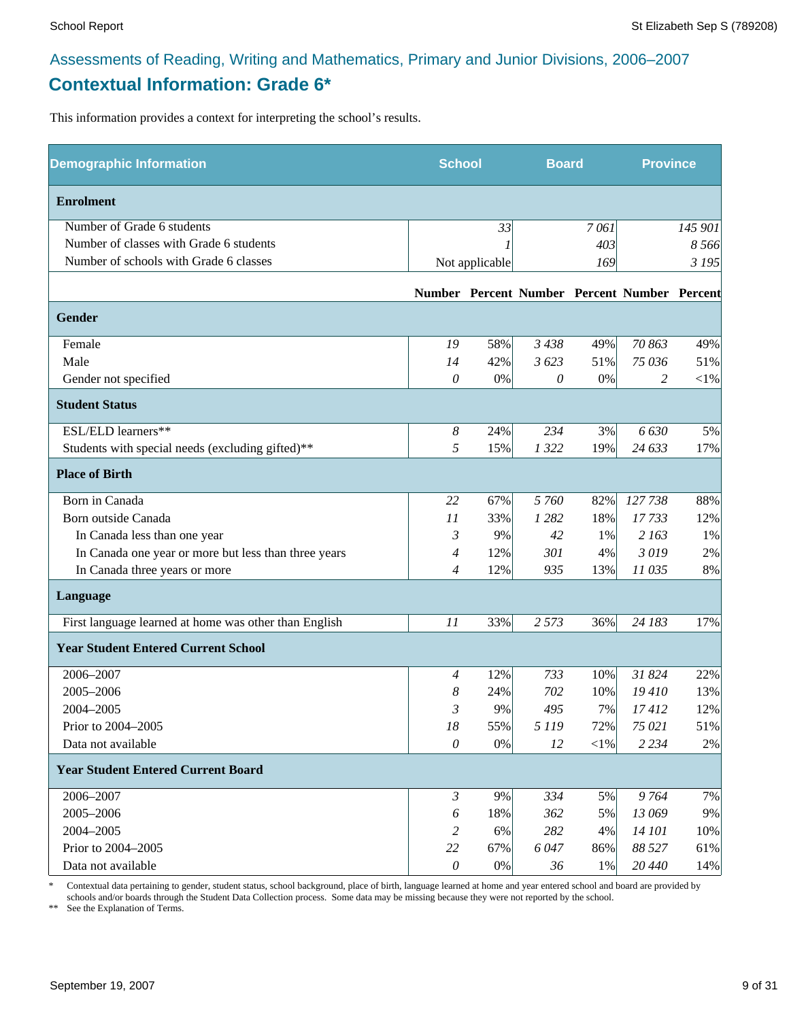### Assessments of Reading, Writing and Mathematics, Primary and Junior Divisions, 2006–2007 **Contextual Information: Grade 6\***

This information provides a context for interpreting the school's results.

| <b>Demographic Information</b>                        | <b>School</b>    |                | <b>Board</b> |            | <b>Province</b>                              |          |
|-------------------------------------------------------|------------------|----------------|--------------|------------|----------------------------------------------|----------|
| <b>Enrolment</b>                                      |                  |                |              |            |                                              |          |
| Number of Grade 6 students                            |                  | 33             |              | 7061       |                                              | 145 901  |
| Number of classes with Grade 6 students               |                  |                |              | 403        |                                              | 8 5 6 6  |
| Number of schools with Grade 6 classes                |                  | Not applicable |              | 169        |                                              | 3 1 9 5  |
|                                                       |                  |                |              |            | Number Percent Number Percent Number Percent |          |
| <b>Gender</b>                                         |                  |                |              |            |                                              |          |
| Female                                                | 19               | 58%            | 3438         | 49%        | 70 863                                       | 49%      |
| Male                                                  | 14               | 42%            | 3 623        | 51%        | 75 036                                       | 51%      |
| Gender not specified                                  | $\theta$         | 0%             | 0            | 0%         | 2                                            | ${<}1\%$ |
| <b>Student Status</b>                                 |                  |                |              |            |                                              |          |
| ESL/ELD learners**                                    | $\boldsymbol{8}$ | 24%            | 234          | 3%         | 6630                                         | 5%       |
| Students with special needs (excluding gifted)**      | 5                | 15%            | 1322         | 19%        | 24 633                                       | 17%      |
| <b>Place of Birth</b>                                 |                  |                |              |            |                                              |          |
| Born in Canada                                        | 22               | 67%            | 5 760        | 82%        | 127738                                       | 88%      |
| Born outside Canada                                   | 11               | 33%            | 1 2 8 2      | 18%        | 17733                                        | 12%      |
| In Canada less than one year                          | 3                | 9%             | 42           | 1%         | 2 163                                        | 1%       |
| In Canada one year or more but less than three years  | 4                | 12%            | 301          | 4%         | 3019                                         | 2%       |
| In Canada three years or more                         | $\overline{4}$   | 12%            | 935          | 13%        | 11 035                                       | 8%       |
| Language                                              |                  |                |              |            |                                              |          |
| First language learned at home was other than English | 11               | 33%            | 2 5 7 3      | 36%        | 24 183                                       | 17%      |
| <b>Year Student Entered Current School</b>            |                  |                |              |            |                                              |          |
| 2006-2007                                             | 4                | 12%            | 733          | 10%        | 31 824                                       | 22%      |
| 2005-2006                                             | 8                | 24%            | 702          | 10%        | 19410                                        | 13%      |
| 2004-2005                                             | 3                | 9%             | 495          | 7%         | 17412                                        | 12%      |
| Prior to 2004-2005                                    | 18               | 55%            | 5 1 1 9      | 72%        | 75 021                                       | 51%      |
| Data not available                                    | $\theta$         | $0\%$          | 12           | $<\!\!1\%$ | 2 2 3 4                                      | $2\%$    |
| <b>Year Student Entered Current Board</b>             |                  |                |              |            |                                              |          |
| 2006-2007                                             | $\mathfrak{Z}$   | 9%             | 334          | 5%         | 9764                                         | 7%       |
| 2005-2006                                             | 6                | 18%            | 362          | 5%         | 13 069                                       | 9%       |
| 2004-2005                                             | 2                | 6%             | 282          | 4%         | 14 101                                       | 10%      |
| Prior to 2004-2005                                    | 22               | 67%            | 6047         | 86%        | 88 527                                       | 61%      |
| Data not available                                    | $\theta$         | $0\%$          | 36           | 1%         | 20 440                                       | 14%      |

\* Contextual data pertaining to gender, student status, school background, place of birth, language learned at home and year entered school and board are provided by schools and/or boards through the Student Data Collection process. Some data may be missing because they were not reported by the school.

\*\* See the Explanation of Terms.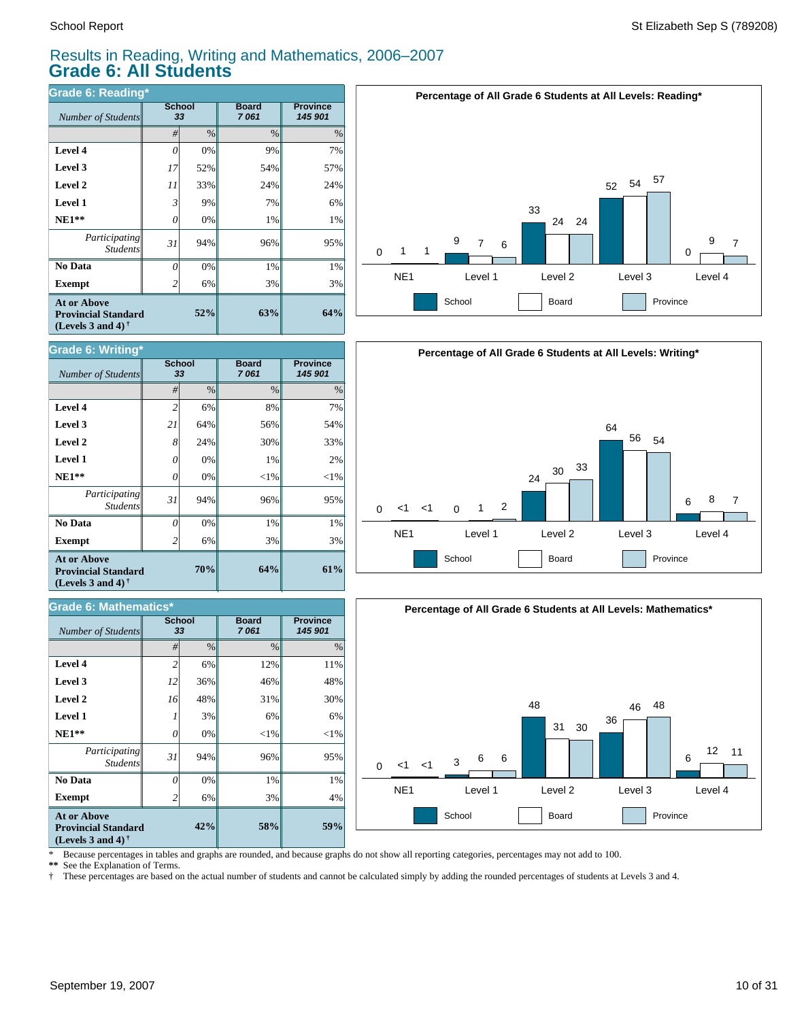#### Results in Reading, Writing and Mathematics, 2006–2007 **Grade 6: All Students**

| Grade 6: Reading*                                                                                    |                |                     |                      |                            |  |  |  |  |
|------------------------------------------------------------------------------------------------------|----------------|---------------------|----------------------|----------------------------|--|--|--|--|
| Number of Students                                                                                   |                | <b>School</b><br>33 | <b>Board</b><br>7061 | <b>Province</b><br>145 901 |  |  |  |  |
|                                                                                                      | #              | $\frac{0}{0}$       | $\frac{0}{0}$        | $\%$                       |  |  |  |  |
| Level 4                                                                                              | 0              | 0%                  | 9%                   | 7%                         |  |  |  |  |
| Level 3                                                                                              | 17             | 52%                 | 54%                  | 57%                        |  |  |  |  |
| Level 2                                                                                              | 11             | 33%                 | 24%                  | 24%                        |  |  |  |  |
| <b>Level 1</b>                                                                                       | 3              | 9%                  | 7%                   | 6%                         |  |  |  |  |
| $NE1**$                                                                                              | 0              | 0%                  | 1%                   | 1%                         |  |  |  |  |
| Participating<br><b>Students</b>                                                                     | 31             | 94%                 | 96%                  | 95%                        |  |  |  |  |
| No Data                                                                                              | 0              | 0%                  | 1%                   | 1%                         |  |  |  |  |
| <b>Exempt</b>                                                                                        | $\overline{2}$ | 6%                  | 3%                   | 3%                         |  |  |  |  |
| <b>At or Above</b><br><b>Provincial Standard</b><br>(Levels 3 and 4) <sup><math>\dagger</math></sup> |                | 52%                 | 63%                  | 64%                        |  |  |  |  |





| <b>Grade 6: Mathematics*</b>                                                                         |                |                     |                      |                            |  |  |  |
|------------------------------------------------------------------------------------------------------|----------------|---------------------|----------------------|----------------------------|--|--|--|
| <b>Number of Students</b>                                                                            |                | <b>School</b><br>33 | <b>Board</b><br>7061 | <b>Province</b><br>145 901 |  |  |  |
|                                                                                                      | #              | $\frac{0}{0}$       | $\frac{0}{0}$        | $\frac{0}{0}$              |  |  |  |
| Level 4                                                                                              | $\overline{c}$ | 6%                  | 12%                  | 11%                        |  |  |  |
| Level 3                                                                                              | 12             | 36%                 | 46%                  | 48%                        |  |  |  |
| Level 2                                                                                              | 16             | 48%                 | 31%                  | 30%                        |  |  |  |
| <b>Level 1</b>                                                                                       |                | 3%                  | 6%                   | 6%                         |  |  |  |
| $NE1**$                                                                                              | 0              | 0%                  | $<$ 1%               | ${<}1\%$                   |  |  |  |
| Participating<br><b>Students</b>                                                                     | 31             | 94%                 | 96%                  | 95%                        |  |  |  |
| No Data                                                                                              | $\Omega$       | 0%                  | 1%                   | 1%                         |  |  |  |
| <b>Exempt</b>                                                                                        | 2              | 6%                  | 3%                   | 4%                         |  |  |  |
| <b>At or Above</b><br><b>Provincial Standard</b><br>(Levels 3 and 4) <sup><math>\dagger</math></sup> |                | 42%                 | 58%                  | 59%                        |  |  |  |





\* Because percentages in tables and graphs are rounded, and because graphs do not show all reporting categories, percentages may not add to 100.

**\*\*** See the Explanation of Terms.

† These percentages are based on the actual number of students and cannot be calculated simply by adding the rounded percentages of students at Levels 3 and 4.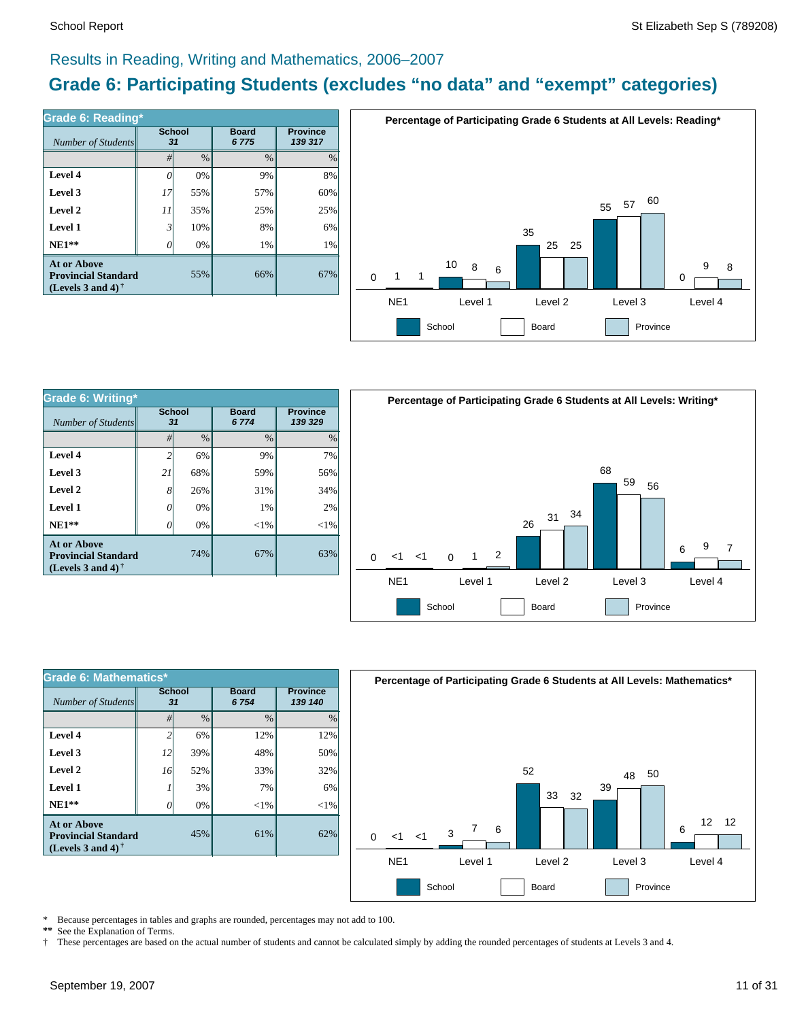#### Results in Reading, Writing and Mathematics, 2006–2007

### **Grade 6: Participating Students (excludes "no data" and "exempt" categories)**

| Number of Students                                                             | <b>School</b><br>31 |      | <b>Board</b><br>6775 | <b>Province</b><br>139 317 |  |
|--------------------------------------------------------------------------------|---------------------|------|----------------------|----------------------------|--|
|                                                                                | #                   | $\%$ | $\frac{0}{0}$        | $\frac{0}{0}$              |  |
| Level 4                                                                        | 0                   | 0%   | 9%                   | 8%                         |  |
| Level 3                                                                        | 17                  | 55%  | 57%                  | 60%                        |  |
| Level 2                                                                        | 11                  | 35%  | 25%                  | 25%                        |  |
| Level 1                                                                        | $\mathfrak{Z}$      | 10%  | 8%                   | 6%                         |  |
| $NE1**$                                                                        | 0                   | 0%   | 1%                   | 1%                         |  |
| <b>At or Above</b><br><b>Provincial Standard</b><br>(Levels 3 and 4) $\dagger$ |                     | 55%  | 66%                  | 67%                        |  |



| <b>Grade 6: Writing*</b>                                                              |                     |               |                      |                            |  |  |  |
|---------------------------------------------------------------------------------------|---------------------|---------------|----------------------|----------------------------|--|--|--|
| Number of Students                                                                    | <b>School</b><br>31 |               | <b>Board</b><br>6774 | <b>Province</b><br>139 329 |  |  |  |
|                                                                                       | #                   | $\frac{0}{0}$ | $\frac{0}{0}$        | $\%$                       |  |  |  |
| Level 4                                                                               | $\overline{c}$      | 6%            | 9%                   | 7%                         |  |  |  |
| Level 3                                                                               | 21                  | 68%           | 59%                  | 56%                        |  |  |  |
| Level 2                                                                               | 8                   | 26%           | 31%                  | 34%                        |  |  |  |
| Level 1                                                                               | 0                   | 0%            | 1%                   | 2%                         |  |  |  |
| $NE1**$                                                                               | 0                   | 0%            | $<$ 1%               | $<$ 1%                     |  |  |  |
| <b>At or Above</b><br>74%<br><b>Provincial Standard</b><br>(Levels 3 and 4) $\dagger$ |                     | 67%           | 63%                  |                            |  |  |  |



| Grade 6: Mathematics*                                                                                |                     |               |                       |        |  |  |  |
|------------------------------------------------------------------------------------------------------|---------------------|---------------|-----------------------|--------|--|--|--|
| Number of Students                                                                                   | <b>School</b><br>31 |               | <b>Board</b><br>6 754 |        |  |  |  |
|                                                                                                      | #                   | $\frac{0}{0}$ | $\frac{0}{0}$         | $\%$   |  |  |  |
| Level 4                                                                                              |                     | 6%            | 12%                   | 12%    |  |  |  |
| Level 3                                                                                              | 12                  | 39%           | 48%                   | 50%    |  |  |  |
| Level 2                                                                                              | 16                  | 52%           | 33%                   | 32%    |  |  |  |
| Level 1                                                                                              |                     | 3%            | 7%                    | 6%     |  |  |  |
| $NE1**$                                                                                              |                     | 0%            | ${<}1\%$              | $<$ 1% |  |  |  |
| <b>At or Above</b><br><b>Provincial Standard</b><br>(Levels 3 and 4) <sup><math>\dagger</math></sup> |                     | 45%           | 61%                   | 62%    |  |  |  |



\* Because percentages in tables and graphs are rounded, percentages may not add to 100.<br>\*\* See the Explanation of Terms See the Explanation of Terms.

† These percentages are based on the actual number of students and cannot be calculated simply by adding the rounded percentages of students at Levels 3 and 4.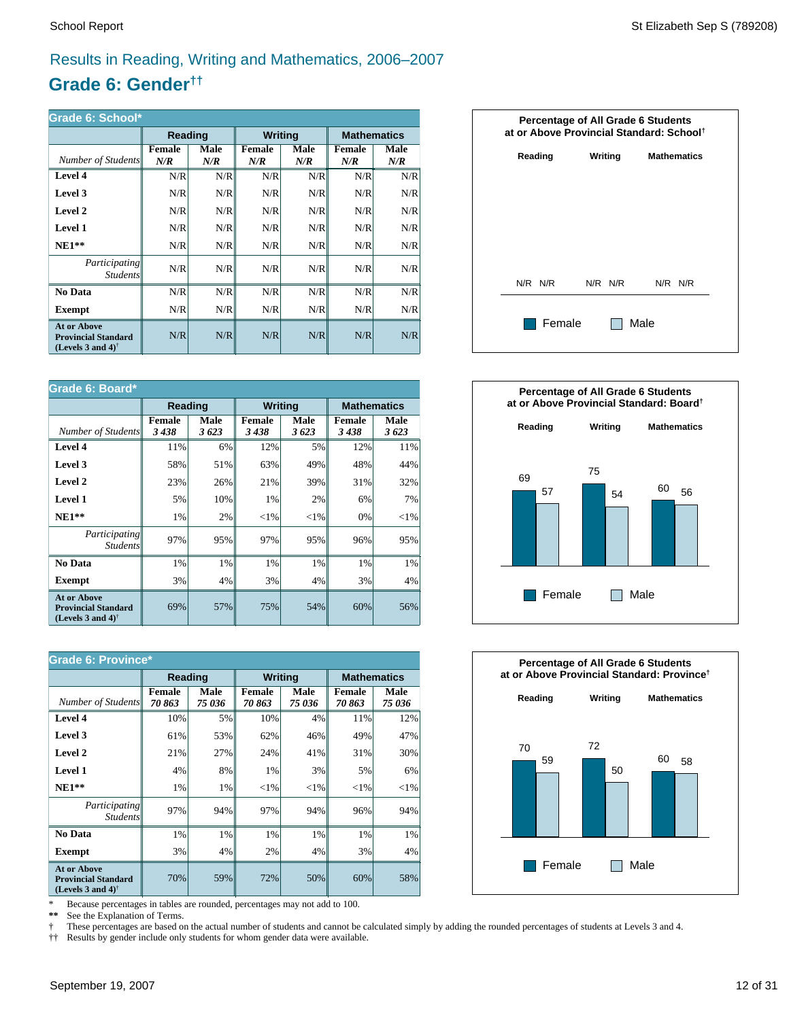### Results in Reading, Writing and Mathematics, 2006–2007

### **Grade 6: Gender††**

| Grade 6: School*                                                                                     |                      |             |                      |             |                      |                    |  |
|------------------------------------------------------------------------------------------------------|----------------------|-------------|----------------------|-------------|----------------------|--------------------|--|
|                                                                                                      | Reading              |             | <b>Writing</b>       |             |                      | <b>Mathematics</b> |  |
| Number of Students                                                                                   | <b>Female</b><br>N/R | Male<br>N/R | <b>Female</b><br>N/R | Male<br>N/R | <b>Female</b><br>N/R | Male<br>N/R        |  |
| Level 4                                                                                              | N/R                  | N/R         | N/R                  | N/R         | N/R                  | N/R                |  |
| Level 3                                                                                              | N/R                  | N/R         | N/R                  | N/R         | N/R                  | N/R                |  |
| Level 2                                                                                              | N/R                  | N/R         | N/R                  | N/R         | N/R                  | N/R                |  |
| Level 1                                                                                              | N/R                  | N/R         | N/R                  | N/R         | N/R                  | N/R                |  |
| $NE1**$                                                                                              | N/R                  | N/R         | N/R                  | N/R         | N/R                  | N/R                |  |
| <i>Participating</i><br><i>Students</i>                                                              | N/R                  | N/R         | N/R                  | N/R         | N/R                  | N/R                |  |
| No Data                                                                                              | N/R                  | N/R         | N/R                  | N/R         | N/R                  | N/R                |  |
| Exempt                                                                                               | N/R                  | N/R         | N/R                  | N/R         | N/R                  | N/R                |  |
| <b>At or Above</b><br><b>Provincial Standard</b><br>(Levels 3 and 4) <sup><math>\dagger</math></sup> | N/R                  | N/R         | N/R                  | N/R         | N/R                  | N/R                |  |

| Grade 6: Board*                                                                |                       |              |                |              |                       |                    |  |
|--------------------------------------------------------------------------------|-----------------------|--------------|----------------|--------------|-----------------------|--------------------|--|
|                                                                                | Reading               |              | <b>Writing</b> |              |                       | <b>Mathematics</b> |  |
| Number of Students                                                             | <b>Female</b><br>3438 | Male<br>3623 | Female<br>3438 | Male<br>3623 | <b>Female</b><br>3438 | Male<br>3623       |  |
| Level 4                                                                        | 11%                   | 6%           | 12%            | 5%           | 12%                   | 11%                |  |
| Level 3                                                                        | 58%                   | 51%          | 63%            | 49%          | 48%                   | 44%                |  |
| Level 2                                                                        | 23%                   | 26%          | 21%            | 39%          | 31%                   | 32%                |  |
| Level 1                                                                        | 5%                    | 10%          | 1%             | 2%           | 6%                    | 7%                 |  |
| $NE1**$                                                                        | 1%                    | 2%           | ${<}1\%$       | ${<}1\%$     | 0%                    | ${<}1\%$           |  |
| Participating<br><b>Students</b>                                               | 97%                   | 95%          | 97%            | 95%          | 96%                   | 95%                |  |
| No Data                                                                        | 1%                    | 1%           | 1%             | 1%           | 1%                    | 1%                 |  |
| Exempt                                                                         | 3%                    | 4%           | 3%             | 4%           | 3%                    | 4%                 |  |
| <b>At or Above</b><br><b>Provincial Standard</b><br>(Levels 3 and 4) $\dagger$ | 69%                   | 57%          | 75%            | 54%          | 60%                   | 56%                |  |

| <b>Grade 6: Province*</b>                                                      |                        |                |                        |                |                 |                    |  |
|--------------------------------------------------------------------------------|------------------------|----------------|------------------------|----------------|-----------------|--------------------|--|
|                                                                                | Reading                |                | <b>Writing</b>         |                |                 | <b>Mathematics</b> |  |
| Number of Students                                                             | <b>Female</b><br>70863 | Male<br>75 036 | <b>Female</b><br>70863 | Male<br>75 036 | Female<br>70863 | Male<br>75 036     |  |
| Level 4                                                                        | 10%                    | 5%             | 10%                    | 4%             | 11%             | 12%                |  |
| Level 3                                                                        | 61%                    | 53%            | 62%                    | 46%            | 49%             | 47%                |  |
| Level 2                                                                        | 21%                    | 27%            | 24%                    | 41%            | 31%             | 30%                |  |
| <b>Level 1</b>                                                                 | 4%                     | 8%             | 1%                     | 3%             | 5%              | 6%                 |  |
| $NE1**$                                                                        | 1%                     | 1%             | ${<}1\%$               | ${<}1\%$       | ${<}1\%$        | ${<}1\%$           |  |
| <i>Participating</i><br><i>Students</i>                                        | 97%                    | 94%            | 97%                    | 94%            | 96%             | 94%                |  |
| No Data                                                                        | 1%                     | 1%             | 1%                     | 1%             | 1%              | $1\%$              |  |
| <b>Exempt</b>                                                                  | 3%                     | 4%             | 2%                     | 4%             | 3%              | $4\%$              |  |
| <b>At or Above</b><br><b>Provincial Standard</b><br>(Levels 3 and 4) $\dagger$ | 70%                    | 59%            | 72%                    | 50%            | 60%             | 58%                |  |

\* Because percentages in tables are rounded, percentages may not add to 100.<br>\*\* See the Explanation of Terms.

See the Explanation of Terms.

† These percentages are based on the actual number of students and cannot be calculated simply by adding the rounded percentages of students at Levels 3 and 4.<br>†† Results by gender include only students for whom gender dat

†† Results by gender include only students for whom gender data were available.





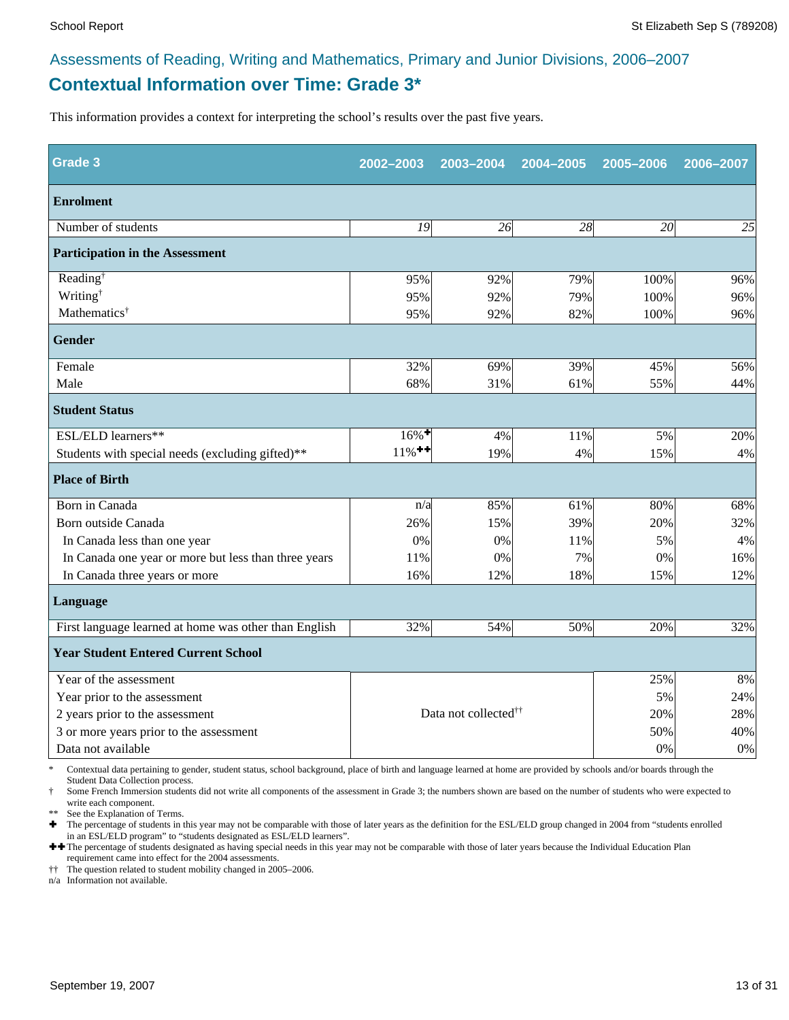### **Contextual Information over Time: Grade 3\*** Assessments of Reading, Writing and Mathematics, Primary and Junior Divisions, 2006–2007

This information provides a context for interpreting the school's results over the past five years.

| <b>Grade 3</b>                                        | 2002-2003            | 2003-2004                        | 2004-2005 | 2005-2006 | 2006-2007 |
|-------------------------------------------------------|----------------------|----------------------------------|-----------|-----------|-----------|
| <b>Enrolment</b>                                      |                      |                                  |           |           |           |
| Number of students                                    | 19                   | 26                               | 28        | 20        | 25        |
| <b>Participation in the Assessment</b>                |                      |                                  |           |           |           |
| Reading <sup>†</sup>                                  | 95%                  | 92%                              | 79%       | 100%      | 96%       |
| Writing <sup>†</sup>                                  | 95%                  | 92%                              | 79%       | 100%      | 96%       |
| Mathematics <sup>†</sup>                              | 95%                  | 92%                              | 82%       | 100%      | 96%       |
| <b>Gender</b>                                         |                      |                                  |           |           |           |
| Female                                                | 32%                  | 69%                              | 39%       | 45%       | 56%       |
| Male                                                  | 68%                  | 31%                              | 61%       | 55%       | 44%       |
| <b>Student Status</b>                                 |                      |                                  |           |           |           |
| ESL/ELD learners**                                    | $16\%$ <sup>+</sup>  | 4%                               | 11%       | 5%        | 20%       |
| Students with special needs (excluding gifted)**      | $11\%$ <sup>++</sup> | 19%                              | 4%        | 15%       | 4%        |
| <b>Place of Birth</b>                                 |                      |                                  |           |           |           |
| Born in Canada                                        | n/a                  | 85%                              | 61%       | 80%       | 68%       |
| Born outside Canada                                   | 26%                  | 15%                              | 39%       | 20%       | 32%       |
| In Canada less than one year                          | 0%                   | 0%                               | 11%       | 5%        | 4%        |
| In Canada one year or more but less than three years  | 11%                  | 0%                               | 7%        | 0%        | 16%       |
| In Canada three years or more                         | 16%                  | 12%                              | 18%       | 15%       | 12%       |
| Language                                              |                      |                                  |           |           |           |
| First language learned at home was other than English | 32%                  | 54%                              | 50%       | 20%       | 32%       |
| <b>Year Student Entered Current School</b>            |                      |                                  |           |           |           |
| Year of the assessment                                |                      |                                  |           | 25%       | 8%        |
| Year prior to the assessment                          |                      |                                  | 5%        | 24%       |           |
| 2 years prior to the assessment                       |                      | Data not collected <sup>††</sup> | 20%       | 28%       |           |
| 3 or more years prior to the assessment               |                      |                                  |           | 50%       | 40%       |
| Data not available                                    |                      |                                  |           | 0%        | 0%        |

\* Contextual data pertaining to gender, student status, school background, place of birth and language learned at home are provided by schools and/or boards through the Student Data Collection process.

Some French Immersion students did not write all components of the assessment in Grade 3; the numbers shown are based on the number of students who were expected to write each component.

See the Explanation of Terms.

Ì The percentage of students in this year may not be comparable with those of later years as the definition for the ESL/ELD group changed in 2004 from "students enrolled in an ESL/ELD program" to "students designated as ESL/ELD learners".

++ The percentage of students designated as having special needs in this year may not be comparable with those of later years because the Individual Education Plan requirement came into effect for the 2004 assessments.

†† The question related to student mobility changed in 2005–2006.

n/a Information not available.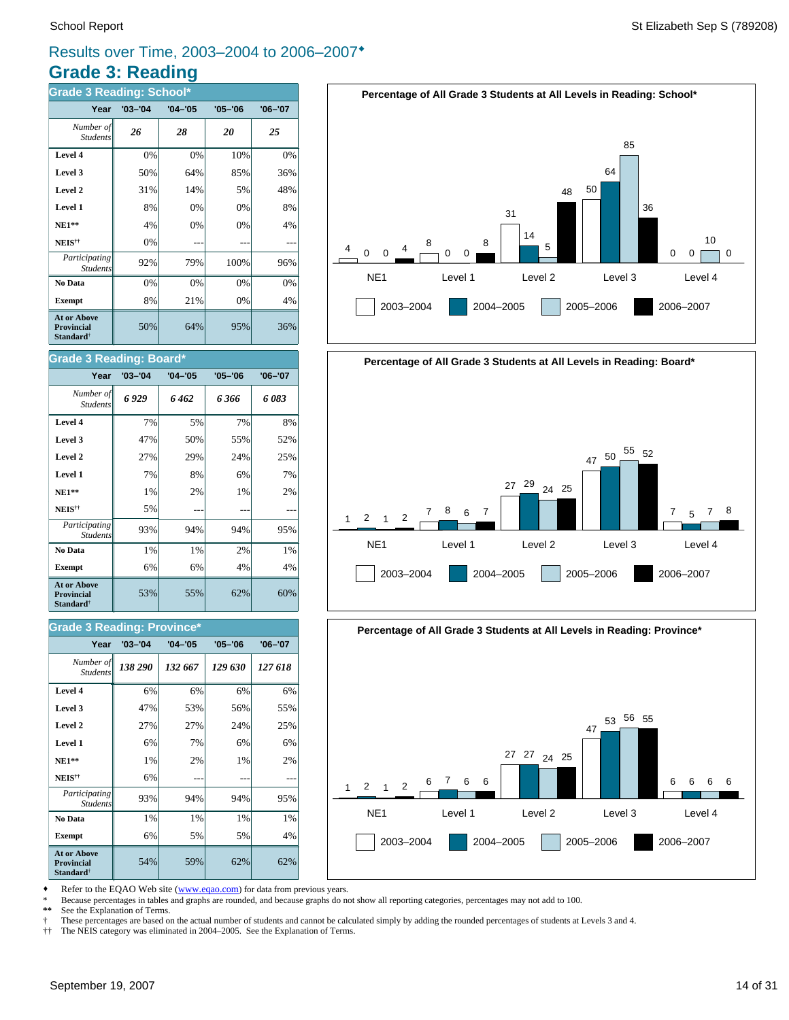### **Grade 3: Reading** Results over Time, 2003–2004 to 2006–2007<sup>\*</sup>

| <b>Grade 3 Reading: School*</b>                                  |             |             |             |             |  |  |  |  |
|------------------------------------------------------------------|-------------|-------------|-------------|-------------|--|--|--|--|
| Year                                                             | $'03 - '04$ | $'04 - '05$ | $'05 - '06$ | $'06 - '07$ |  |  |  |  |
| Number of<br><b>Students</b>                                     | 26          | 28          | 20          | 25          |  |  |  |  |
| Level 4                                                          | 0%          | 0%          | 10%         | 0%          |  |  |  |  |
| Level 3                                                          | 50%         | 64%         | 85%         | 36%         |  |  |  |  |
| Level 2                                                          | 31%         | 14%         | 5%          | 48%         |  |  |  |  |
| Level 1                                                          | 8%          | 0%          | 0%          | 8%          |  |  |  |  |
| $NE1**$                                                          | 4%          | 0%          | 0%          | 4%          |  |  |  |  |
| NEIS <sup>††</sup>                                               | 0%          |             |             |             |  |  |  |  |
| Participating<br><b>Students</b>                                 | 92%         | 79%         | 100%        | 96%         |  |  |  |  |
| No Data                                                          | 0%          | 0%          | 0%          | 0%          |  |  |  |  |
| <b>Exempt</b>                                                    | 8%          | 21%         | 0%          | 4%          |  |  |  |  |
| At or Above<br><b>Provincial</b><br><b>Standard</b> <sup>†</sup> | 50%         | 64%         | 95%         | 36%         |  |  |  |  |

#### **Grade 3 Reading: Board\***

| Year                                                                    | $'03 - '04$ | $'04 - '05$ | $'05 - '06$ | $'06 - '07$ |
|-------------------------------------------------------------------------|-------------|-------------|-------------|-------------|
| Number of<br><b>Students</b>                                            | 6929        | 6 462       | 6366        | 6083        |
| Level 4                                                                 | 7%          | 5%          | 7%          | 8%          |
| Level 3                                                                 | 47%         | 50%         | 55%         | 52%         |
| Level 2                                                                 | 27%         | 29%         | 24%         | 25%         |
| Level 1                                                                 | 7%          | 8%          | 6%          | 7%          |
| $NE1**$                                                                 | 1%          | 2%          | 1%          | 2%          |
| NEIS <sup>††</sup>                                                      | 5%          |             |             |             |
| Participating<br><b>Students</b>                                        | 93%         | 94%         | 94%         | 95%         |
| No Data                                                                 | 1%          | 1%          | 2%          | 1%          |
| <b>Exempt</b>                                                           | 6%          | 6%          | 4%          | 4%          |
| <b>At or Above</b><br><b>Provincial</b><br><b>Standard</b> <sup>†</sup> | 53%         | 55%         | 62%         | 60%         |

#### **Grade 3 Reading: Province\***

| Year                                                                    | $'03 - '04$ | $'04 - '05$ | $'05 - '06$ | $'06 - '07$ |
|-------------------------------------------------------------------------|-------------|-------------|-------------|-------------|
| Number of<br><b>Students</b>                                            | 138 290     | 132 667     | 129 630     | 127 618     |
| Level 4                                                                 | 6%          | 6%          | 6%          | 6%          |
| Level 3                                                                 | 47%         | 53%         | 56%         | 55%         |
| Level 2                                                                 | 27%         | 27%         | 24%         | 25%         |
| Level 1                                                                 | 6%          | 7%          | 6%          | 6%          |
| <b>NE1**</b>                                                            | 1%          | 2%          | 1%          | 2%          |
| NEIS <sup>††</sup>                                                      | 6%          |             |             |             |
| Participating<br><b>Students</b>                                        | 93%         | 94%         | 94%         | 95%         |
| No Data                                                                 | 1%          | 1%          | 1%          | 1%          |
| <b>Exempt</b>                                                           | 6%          | 5%          | 5%          | 4%          |
| <b>At or Above</b><br><b>Provincial</b><br><b>Standard</b> <sup>†</sup> | 54%         | 59%         | 62%         | 62%         |





2003–2004 2004–2005 2005–2006 2006–2007

## **Percentage of All Grade 3 Students at All Levels in Reading: Province\*** NE1 Level 1 Level 2 Level 3 Level 4 1 2003–2004 2004–2005 2005–2006 2006–2007  $2$  1 2  $\frac{6}{1}$  7 6 6 27 27 24 25 47 53 56 55 6 6 6 6

Refer to the EQAO Web site (www.eqao.com) for data from previous years.

\* Because percentages in tables and graphs are rounded, and because graphs do not show all reporting categories, percentages may not add to 100.

See the Explanation of Terms.

† These percentages are based on the actual number of students and cannot be calculated simply by adding the rounded percentages of students at Levels 3 and 4.

4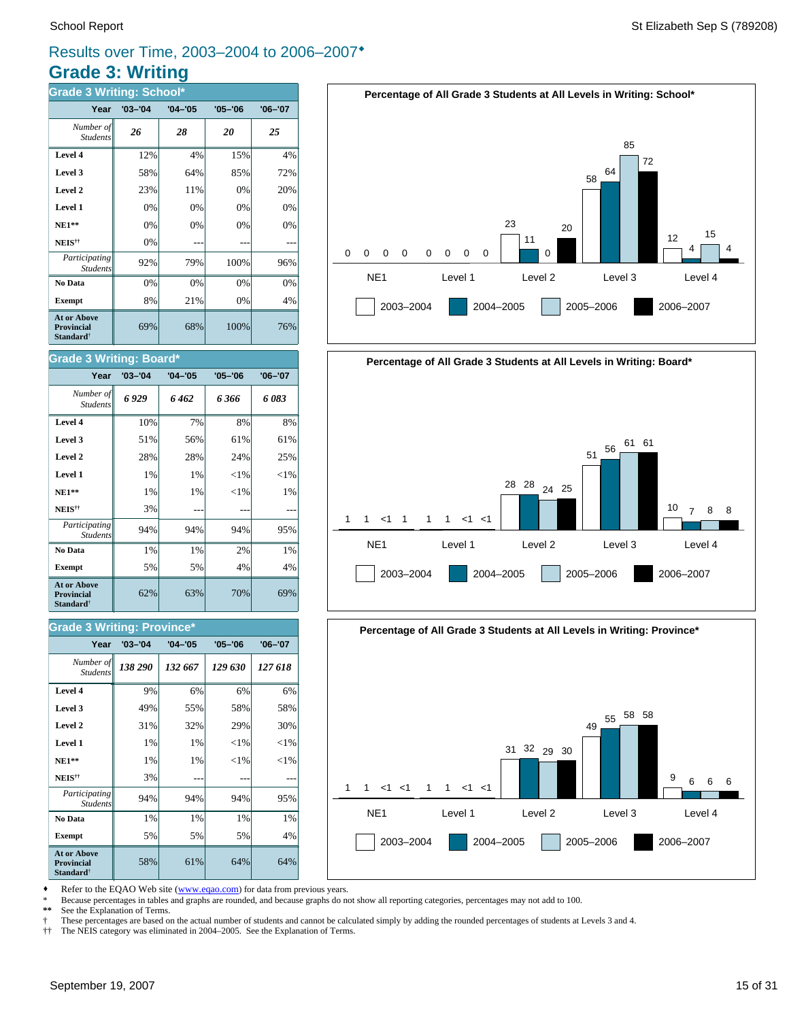### **Grade 3: Writing** Results over Time, 2003–2004 to 2006–2007<sup>\*</sup>

| <b>Grade 3 Writing: School*</b>                                  |             |             |             |             |  |  |  |  |
|------------------------------------------------------------------|-------------|-------------|-------------|-------------|--|--|--|--|
| Year                                                             | $'03 - '04$ | $'04 - '05$ | $'05 - '06$ | $'06 - '07$ |  |  |  |  |
| Number of<br><b>Students</b>                                     | 26          | 28          | 20          | 25          |  |  |  |  |
| Level 4                                                          | 12%         | 4%          | 15%         | 4%          |  |  |  |  |
| Level 3                                                          | 58%         | 64%         | 85%         | 72%         |  |  |  |  |
| Level 2                                                          | 23%         | 11%         | 0%          | 20%         |  |  |  |  |
| Level 1                                                          | 0%          | 0%          | 0%          | 0%          |  |  |  |  |
| $NE1**$                                                          | 0%          | 0%          | 0%          | 0%          |  |  |  |  |
| NEIS <sup>††</sup>                                               | 0%          |             |             |             |  |  |  |  |
| Participating<br><b>Students</b>                                 | 92%         | 79%         | 100%        | 96%         |  |  |  |  |
| No Data                                                          | 0%          | 0%          | 0%          | 0%          |  |  |  |  |
| <b>Exempt</b>                                                    | 8%          | 21%         | 0%          | 4%          |  |  |  |  |
| <b>At or Above</b><br>Provincial<br><b>Standard</b> <sup>†</sup> | 69%         | 68%         | 100%        | 76%         |  |  |  |  |

#### **Grade 3 Writing: Board\***

| Year                                                                    | $'03 - '04$ | $'04 - '05$ | $'05 - '06$ | $'06 - '07$ |
|-------------------------------------------------------------------------|-------------|-------------|-------------|-------------|
| Number of<br><b>Students</b>                                            | 6929        | 6 462       | 6 366       | 6083        |
| Level 4                                                                 | 10%         | 7%          | 8%          | 8%          |
| Level 3                                                                 | 51%         | 56%         | 61%         | 61%         |
| Level 2                                                                 | 28%         | 28%         | 24%         | 25%         |
| Level 1                                                                 | 1%          | 1%          | ${<}1\%$    | ${<}1\%$    |
| $NE1**$                                                                 | 1%          | 1%          | ${<}1\%$    | 1%          |
| NEIS <sup>††</sup>                                                      | 3%          |             |             |             |
| Participating<br><b>Students</b>                                        | 94%         | 94%         | 94%         | 95%         |
| No Data                                                                 | 1%          | 1%          | 2%          | 1%          |
| <b>Exempt</b>                                                           | 5%          | 5%          | 4%          | 4%          |
| <b>At or Above</b><br><b>Provincial</b><br><b>Standard</b> <sup>†</sup> | 62%         | 63%         | 70%         | 69%         |

#### **Grade 3 Writing: Province\***

| Year                                                                    | $'03 - '04$ | $'04 - '05$ | $'05 - '06$ | $'06 - '07$ |
|-------------------------------------------------------------------------|-------------|-------------|-------------|-------------|
| Number of<br><b>Students</b>                                            | 138 290     | 132 667     | 129 630     | 127 618     |
| Level 4                                                                 | 9%          | 6%          | 6%          | 6%          |
| Level 3                                                                 | 49%         | 55%         | 58%         | 58%         |
| Level 2                                                                 | 31%         | 32%         | 29%         | 30%         |
| Level 1                                                                 | 1%          | 1%          | ${<}1\%$    | ${<}1\%$    |
| $NE1**$                                                                 | 1%          | 1%          | ${<}1\%$    | ${<}1\%$    |
| NEIS <sup>††</sup>                                                      | 3%          |             |             |             |
| Participating<br><b>Students</b>                                        | 94%         | 94%         | 94%         | 95%         |
| No Data                                                                 | 1%          | 1%          | 1%          | 1%          |
| <b>Exempt</b>                                                           | 5%          | 5%          | 5%          | 4%          |
| <b>At or Above</b><br><b>Provincial</b><br><b>Standard</b> <sup>†</sup> | 58%         | 61%         | 64%         | 64%         |







Refer to the EQAO Web site (www.eqao.com) for data from previous years.

\* Because percentages in tables and graphs are rounded, and because graphs do not show all reporting categories, percentages may not add to 100.

See the Explanation of Terms.

† These percentages are based on the actual number of students and cannot be calculated simply by adding the rounded percentages of students at Levels 3 and 4.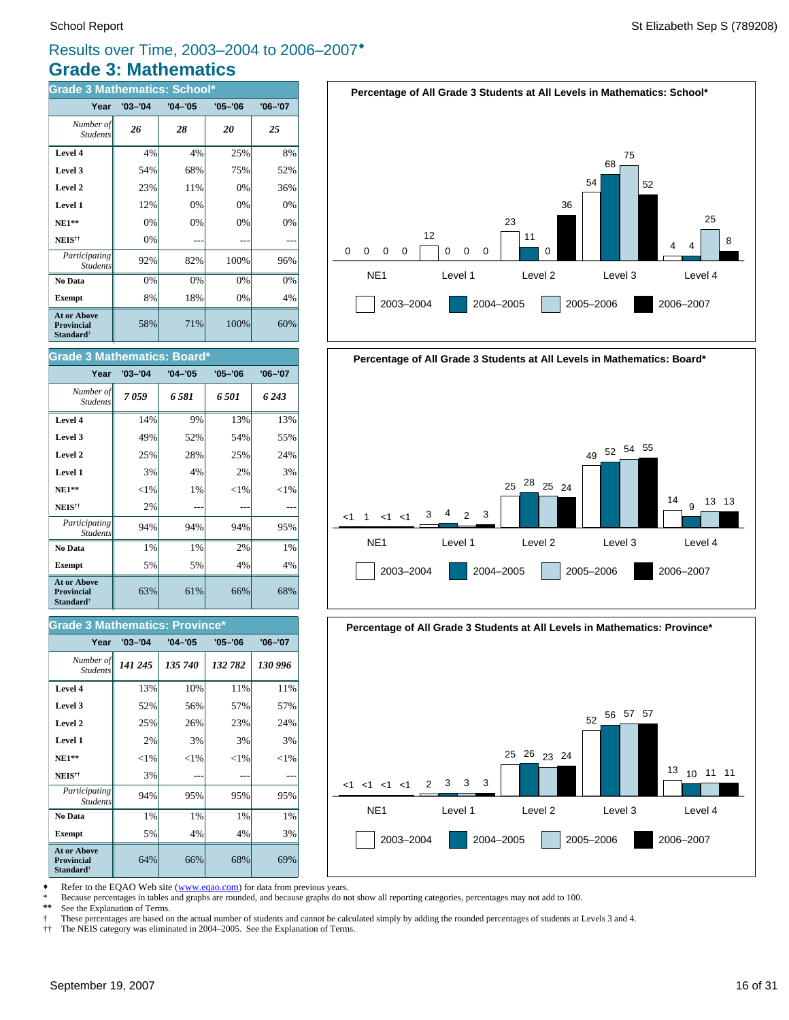### **Grade 3: Mathematics** Results over Time, 2003–2004 to 2006–2007<sup>\*</sup>

| <b>Grade 3 Mathematics: School*</b>                              |             |             |             |             |  |
|------------------------------------------------------------------|-------------|-------------|-------------|-------------|--|
| Year                                                             | $'03 - '04$ | $'04 - '05$ | $'05 - '06$ | $'06 - '07$ |  |
| Number of<br><b>Students</b>                                     | 26          | 28          | 20          | 25          |  |
| Level 4                                                          | 4%          | 4%          | 25%         | 8%          |  |
| Level 3                                                          | 54%         | 68%         | 75%         | 52%         |  |
| Level 2                                                          | 23%         | 11%         | 0%          | 36%         |  |
| Level 1                                                          | 12%         | 0%          | 0%          | 0%          |  |
| $NE1**$                                                          | 0%          | 0%          | 0%          | 0%          |  |
| $\mathbf{NEIS}^{\dagger\dagger}$                                 | 0%          |             |             |             |  |
| Participating<br><b>Students</b>                                 | 92%         | 82%         | 100%        | 96%         |  |
| No Data                                                          | 0%          | 0%          | 0%          | 0%          |  |
| <b>Exempt</b>                                                    | 8%          | 18%         | 0%          | 4%          |  |
| <b>At or Above</b><br>Provincial<br><b>Standard</b> <sup>†</sup> | 58%         | 71%         | 100%        | 60%         |  |

#### **Grade 3 Mathematics: Board\***

| Year                                                                    | $'03 - '04$ | $'04 - '05$ | $'05 - '06$ | $'06 - '07$ |
|-------------------------------------------------------------------------|-------------|-------------|-------------|-------------|
| Number of<br><b>Students</b>                                            | 7059        | 6581        | 6 501       | 6 243       |
| Level 4                                                                 | 14%         | 9%          | 13%         | 13%         |
| Level 3                                                                 | 49%         | 52%         | 54%         | 55%         |
| Level 2                                                                 | 25%         | 28%         | 25%         | 24%         |
| Level 1                                                                 | 3%          | 4%          | 2%          | 3%          |
| $NE1**$                                                                 | ${<}1\%$    | 1%          | ${<}1\%$    | ${<}1\%$    |
| NEIS <sup>††</sup>                                                      | 2%          |             |             |             |
| Participating<br><b>Students</b>                                        | 94%         | 94%         | 94%         | 95%         |
| No Data                                                                 | 1%          | 1%          | 2%          | 1%          |
| <b>Exempt</b>                                                           | 5%          | 5%          | 4%          | 4%          |
| <b>At or Above</b><br><b>Provincial</b><br><b>Standard</b> <sup>†</sup> | 63%         | 61%         | 66%         | 68%         |

#### *141 245 135 740 132 782 130 996 Number of Students* **Year '03–'04 '04–'05 '05–'06 '06–'07 Grade 3 Mathematics: Province\***

| Level 4                                                                 | 13%      | 10%      | 11%    | 11%      |
|-------------------------------------------------------------------------|----------|----------|--------|----------|
| Level 3                                                                 | 52%      | 56%      | 57%    | 57%      |
| Level 2                                                                 | 25%      | 26%      | 23%    | 24%      |
| Level 1                                                                 | 2%       | 3%       | 3%     | 3%       |
| $NE1**$                                                                 | ${<}1\%$ | ${<}1\%$ | $<$ 1% | ${<}1\%$ |
| NEIS <sup>††</sup>                                                      | 3%       |          |        |          |
| Participating<br><b>Students</b>                                        | 94%      | 95%      | 95%    | 95%      |
| No Data                                                                 | 1%       | 1%       | 1%     | 1%       |
| <b>Exempt</b>                                                           | 5%       | 4%       | 4%     | 3%       |
| <b>At or Above</b><br><b>Provincial</b><br><b>Standard</b> <sup>†</sup> | 64%      | 66%      | 68%    | 69%      |





#### **Percentage of All Grade 3 Students at All Levels in Mathematics: Province\***



Refer to the EQAO Web site (www.eqao.com) for data from previous years.

\* Because percentages in tables and graphs are rounded, and because graphs do not show all reporting categories, percentages may not add to 100.

See the Explanation of Terms.

† These percentages are based on the actual number of students and cannot be calculated simply by adding the rounded percentages of students at Levels 3 and 4.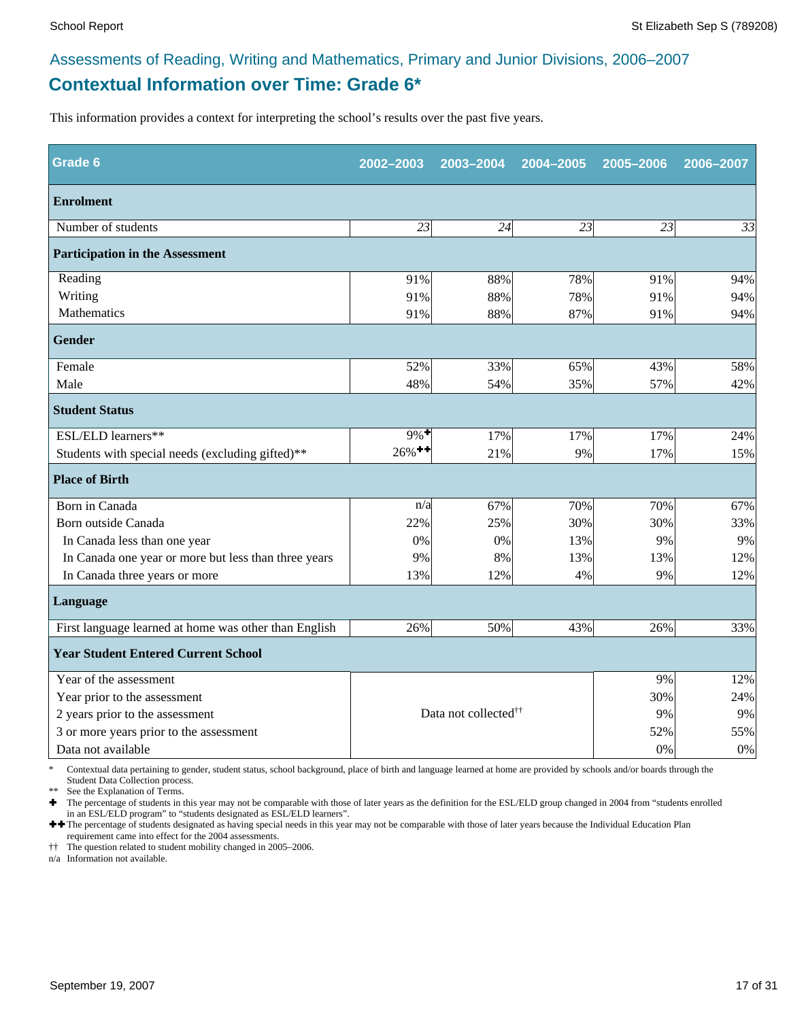### **Contextual Information over Time: Grade 6\*** Assessments of Reading, Writing and Mathematics, Primary and Junior Divisions, 2006–2007

This information provides a context for interpreting the school's results over the past five years.

| <b>Grade 6</b>                                        | 2002-2003                                    | 2003-2004 | 2004-2005 | 2005-2006 | 2006-2007 |
|-------------------------------------------------------|----------------------------------------------|-----------|-----------|-----------|-----------|
| <b>Enrolment</b>                                      |                                              |           |           |           |           |
| Number of students                                    | 23                                           | 24        | 23        | 23        | 33        |
| <b>Participation in the Assessment</b>                |                                              |           |           |           |           |
| Reading                                               | 91%                                          | 88%       | 78%       | 91%       | 94%       |
| Writing                                               | 91%                                          | 88%       | 78%       | 91%       | 94%       |
| Mathematics                                           | 91%                                          | 88%       | 87%       | 91%       | 94%       |
| Gender                                                |                                              |           |           |           |           |
| Female                                                | 52%                                          | 33%       | 65%       | 43%       | 58%       |
| Male                                                  | 48%                                          | 54%       | 35%       | 57%       | 42%       |
| <b>Student Status</b>                                 |                                              |           |           |           |           |
| ESL/ELD learners**                                    | $9\%$ <sup>+</sup>                           | 17%       | 17%       | 17%       | 24%       |
| Students with special needs (excluding gifted)**      | $26\%$ <sup>++</sup>                         | 21%       | 9%        | 17%       | 15%       |
| <b>Place of Birth</b>                                 |                                              |           |           |           |           |
| Born in Canada                                        | n/a                                          | 67%       | 70%       | 70%       | 67%       |
| Born outside Canada                                   | 22%                                          | 25%       | 30%       | 30%       | 33%       |
| In Canada less than one year                          | $0\%$                                        | 0%        | 13%       | 9%        | 9%        |
| In Canada one year or more but less than three years  | 9%                                           | 8%        | 13%       | 13%       | 12%       |
| In Canada three years or more                         | 13%                                          | 12%       | 4%        | 9%        | 12%       |
| Language                                              |                                              |           |           |           |           |
| First language learned at home was other than English | 26%                                          | 50%       | 43%       | 26%       | 33%       |
| <b>Year Student Entered Current School</b>            |                                              |           |           |           |           |
| Year of the assessment                                |                                              |           |           | 9%        | 12%       |
| Year prior to the assessment                          |                                              |           |           |           | 24%       |
| 2 years prior to the assessment                       | Data not collected <sup>††</sup><br>9%<br>9% |           |           |           |           |
| 3 or more years prior to the assessment               |                                              |           |           | 52%       | 55%       |
| Data not available                                    |                                              |           |           | 0%        | 0%        |

\* Contextual data pertaining to gender, student status, school background, place of birth and language learned at home are provided by schools and/or boards through the Student Data Collection process.

\*\* See the Explanation of Terms.<br> $\bullet$  The percentage of students in t

Ì The percentage of students in this year may not be comparable with those of later years as the definition for the ESL/ELD group changed in 2004 from "students enrolled in an ESL/ELD program" to "students designated as ESL/ELD learners".

++ The percentage of students designated as having special needs in this year may not be comparable with those of later years because the Individual Education Plan requirement came into effect for the 2004 assessments.

†† The question related to student mobility changed in 2005–2006.

n/a Information not available.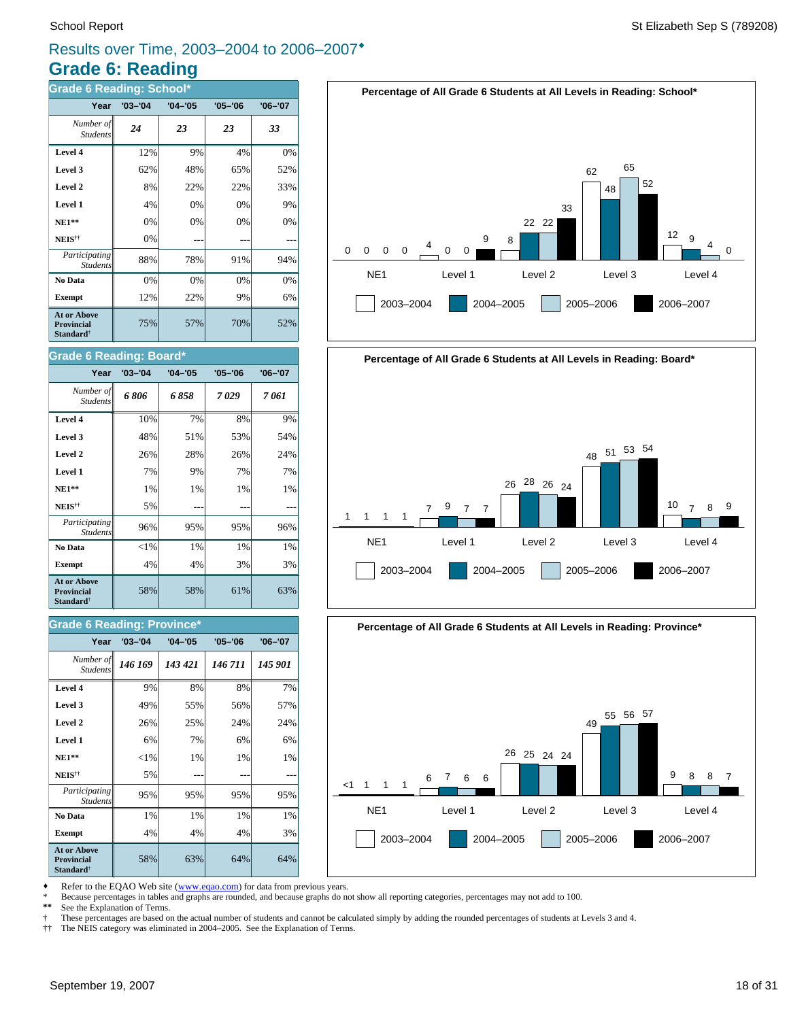### **Grade 6: Reading** Results over Time, 2003–2004 to 2006–2007<sup>\*</sup>

| <b>Grade 6 Reading: School*</b>                                         |             |             |             |             |  |  |
|-------------------------------------------------------------------------|-------------|-------------|-------------|-------------|--|--|
| Year                                                                    | $'03 - '04$ | $'04 - '05$ | $'05 - '06$ | $'06 - '07$ |  |  |
| Number of<br><b>Students</b>                                            | 24          | 23          | 23          | 33          |  |  |
| Level 4                                                                 | 12%         | 9%          | 4%          | 0%          |  |  |
| Level 3                                                                 | 62%         | 48%         | 65%         | 52%         |  |  |
| Level 2                                                                 | 8%          | 22%         | 22%         | 33%         |  |  |
| Level 1                                                                 | 4%          | 0%          | 0%          | 9%          |  |  |
| $NE1**$                                                                 | 0%          | 0%          | 0%          | 0%          |  |  |
| NEIS <sup>††</sup>                                                      | 0%          |             |             |             |  |  |
| Participating<br><b>Students</b>                                        | 88%         | 78%         | 91%         | 94%         |  |  |
| No Data                                                                 | 0%          | 0%          | 0%          | 0%          |  |  |
| <b>Exempt</b>                                                           | 12%         | 22%         | 9%          | 6%          |  |  |
| <b>At or Above</b><br><b>Provincial</b><br><b>Standard</b> <sup>†</sup> | 75%         | 57%         | 70%         | 52%         |  |  |

#### **Grade 6 Reading: Board\***

| Year                                                                    | $'03 - '04$ | $'04 - '05$ | '05–'06 | '06-'07 |
|-------------------------------------------------------------------------|-------------|-------------|---------|---------|
| Number of<br><b>Students</b>                                            | 6806        | 6858        | 7029    | 7 061   |
| Level 4                                                                 | 10%         | 7%          | 8%      | 9%      |
| Level 3                                                                 | 48%         | 51%         | 53%     | 54%     |
| Level 2                                                                 | 26%         | 28%         | 26%     | 24%     |
| Level 1                                                                 | 7%          | 9%          | 7%      | 7%      |
| $NE1**$                                                                 | 1%          | 1%          | 1%      | 1%      |
| NEIS <sup>††</sup>                                                      | 5%          |             |         |         |
| Participating<br><b>Students</b>                                        | 96%         | 95%         | 95%     | 96%     |
| No Data                                                                 | ${<}1\%$    | 1%          | 1%      | 1%      |
| <b>Exempt</b>                                                           | 4%          | 4%          | 3%      | 3%      |
| <b>At or Above</b><br><b>Provincial</b><br><b>Standard</b> <sup>†</sup> | 58%         | 58%         | 61%     | 63%     |

#### **Grade 6 Reading: Province\***

| Year                                                                    | $'03 - '04$ | $'04 - '05$ | $'05 - '06$ | $'06 - '07$ |
|-------------------------------------------------------------------------|-------------|-------------|-------------|-------------|
| Number of<br><b>Students</b>                                            | 146 169     | 143 421     | 146711      | 145 901     |
| Level 4                                                                 | 9%          | 8%          | 8%          | 7%          |
| Level 3                                                                 | 49%         | 55%         | 56%         | 57%         |
| Level 2                                                                 | 26%         | 25%         | 24%         | 24%         |
| Level 1                                                                 | 6%          | 7%          | 6%          | 6%          |
| $NE1**$                                                                 | $<$ 1%      | 1%          | 1%          | $1\%$       |
| NEIS <sup>††</sup>                                                      | 5%          |             |             |             |
| Participating<br><b>Students</b>                                        | 95%         | 95%         | 95%         | 95%         |
| No Data                                                                 | 1%          | 1%          | 1%          | 1%          |
| <b>Exempt</b>                                                           | 4%          | 4%          | 4%          | 3%          |
| <b>At or Above</b><br><b>Provincial</b><br><b>Standard</b> <sup>†</sup> | 58%         | 63%         | 64%         | 64%         |







Refer to the EQAO Web site (www.eqao.com) for data from previous years.

\* Because percentages in tables and graphs are rounded, and because graphs do not show all reporting categories, percentages may not add to 100.

See the Explanation of Terms.

† These percentages are based on the actual number of students and cannot be calculated simply by adding the rounded percentages of students at Levels 3 and 4.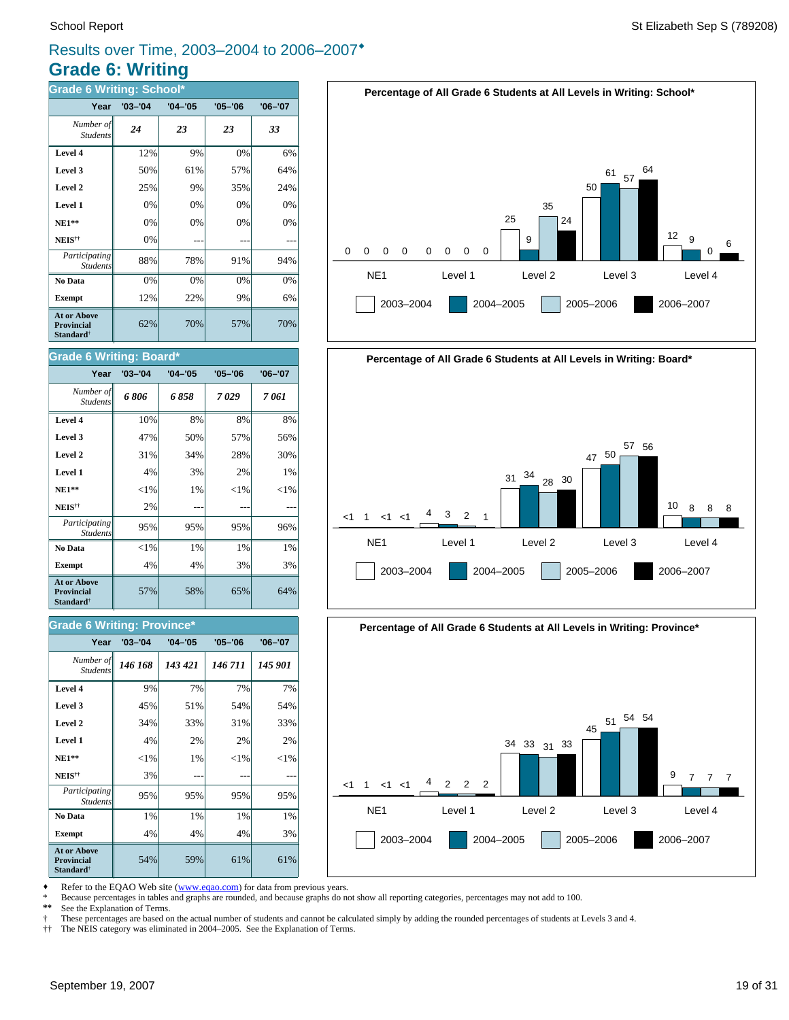### **Grade 6: Writing** Results over Time, 2003–2004 to 2006–2007<sup>\*</sup>

| <b>Grade 6 Writing: School*</b>                                         |             |             |             |             |  |  |
|-------------------------------------------------------------------------|-------------|-------------|-------------|-------------|--|--|
| Year                                                                    | $'03 - '04$ | $'04 - '05$ | $'05 - '06$ | $'06 - '07$ |  |  |
| Number of<br><b>Students</b>                                            | 24          | 23          | 23          | 33          |  |  |
| Level 4                                                                 | 12%         | 9%          | 0%          | 6%          |  |  |
| Level 3                                                                 | 50%         | 61%         | 57%         | 64%         |  |  |
| Level 2                                                                 | 25%         | 9%          | 35%         | 24%         |  |  |
| Level 1                                                                 | 0%          | 0%          | 0%          | 0%          |  |  |
| $NE1**$                                                                 | 0%          | 0%          | 0%          | 0%          |  |  |
| NEIS <sup>††</sup>                                                      | 0%          |             |             |             |  |  |
| Participating<br><b>Students</b>                                        | 88%         | 78%         | 91%         | 94%         |  |  |
| No Data                                                                 | 0%          | 0%          | 0%          | 0%          |  |  |
| <b>Exempt</b>                                                           | 12%         | 22%         | 9%          | 6%          |  |  |
| <b>At or Above</b><br><b>Provincial</b><br><b>Standard</b> <sup>†</sup> | 62%         | 70%         | 57%         | 70%         |  |  |

#### **Grade 6 Writing: Board\***

| Year                                                                    | $'03 - '04$ | $'04 - '05$ | $'05 - '06$ | $'06 - '07$ |
|-------------------------------------------------------------------------|-------------|-------------|-------------|-------------|
| Number of<br><b>Students</b>                                            | 6806        | 6858        | 7029        | 7 061       |
| Level 4                                                                 | 10%         | 8%          | 8%          | 8%          |
| Level 3                                                                 | 47%         | 50%         | 57%         | 56%         |
| Level 2                                                                 | 31%         | 34%         | 28%         | 30%         |
| Level 1                                                                 | 4%          | 3%          | 2%          | 1%          |
| $NE1**$                                                                 | ${<}1\%$    | 1%          | ${<}1\%$    | $<$ 1%      |
| NEIS <sup>††</sup>                                                      | 2%          |             |             |             |
| Participating<br><b>Students</b>                                        | 95%         | 95%         | 95%         | 96%         |
| No Data                                                                 | ${<}1\%$    | $1\%$       | $1\%$       | 1%          |
| <b>Exempt</b>                                                           | 4%          | 4%          | 3%          | 3%          |
| <b>At or Above</b><br><b>Provincial</b><br><b>Standard</b> <sup>†</sup> | 57%         | 58%         | 65%         | 64%         |

#### **Grade 6 Writing: Province\***

| Year                                                             | $'03 - '04$ | $'04 - '05$ | $'05 - '06$ | $'06 - '07$ |
|------------------------------------------------------------------|-------------|-------------|-------------|-------------|
| Number of<br><b>Students</b>                                     | 146 168     | 143 421     | 146 711     | 145 901     |
| Level 4                                                          | 9%          | 7%          | 7%          | 7%          |
| Level 3                                                          | 45%         | 51%         | 54%         | 54%         |
| Level 2                                                          | 34%         | 33%         | 31%         | 33%         |
| Level 1                                                          | 4%          | 2%          | 2%          | 2%          |
| $NE1**$                                                          | ${<}1\%$    | 1%          | ${<}1\%$    | ${<}1\%$    |
| NEIS <sup>††</sup>                                               | 3%          |             |             |             |
| Participating<br><b>Students</b>                                 | 95%         | 95%         | 95%         | 95%         |
| No Data                                                          | 1%          | 1%          | 1%          | 1%          |
| <b>Exempt</b>                                                    | 4%          | 4%          | 4%          | 3%          |
| <b>At or Above</b><br>Provincial<br><b>Standard</b> <sup>†</sup> | 54%         | 59%         | 61%         | 61%         |







Refer to the EQAO Web site (www.eqao.com) for data from previous years.

\* Because percentages in tables and graphs are rounded, and because graphs do not show all reporting categories, percentages may not add to 100.

See the Explanation of Terms.

† These percentages are based on the actual number of students and cannot be calculated simply by adding the rounded percentages of students at Levels 3 and 4.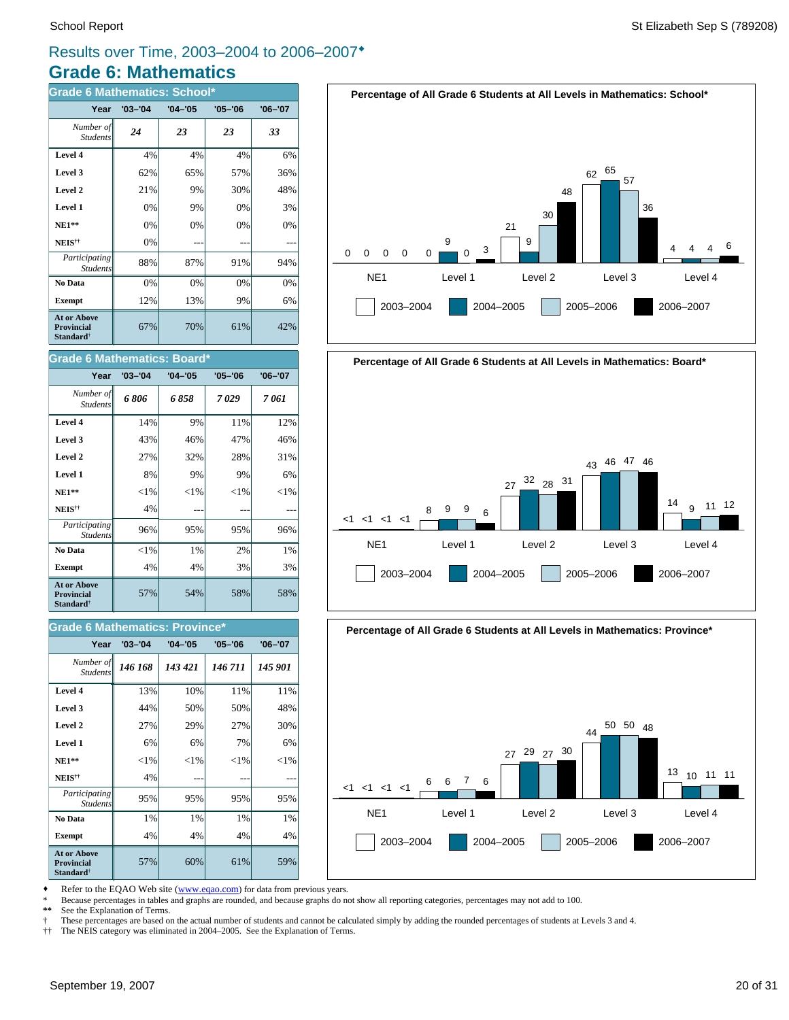### **Grade 6: Mathematics** Results over Time, 2003–2004 to 2006–2007<sup>\*</sup>

| <b>Grade 6 Mathematics: School*</b>                                     |             |             |             |         |  |  |  |  |  |  |  |
|-------------------------------------------------------------------------|-------------|-------------|-------------|---------|--|--|--|--|--|--|--|
| Year                                                                    | $'03 - '04$ | $'04 - '05$ | $'05 - '06$ | '06-'07 |  |  |  |  |  |  |  |
| Number of<br><b>Students</b>                                            | 24          | 23          | 23          | 33      |  |  |  |  |  |  |  |
| Level 4                                                                 | 4%          | 4%          | 4%          | 6%      |  |  |  |  |  |  |  |
| Level 3                                                                 | 62%         | 65%         | 57%         | 36%     |  |  |  |  |  |  |  |
| Level 2                                                                 | 21%         | 9%          | 30%         | 48%     |  |  |  |  |  |  |  |
| Level 1                                                                 | 0%          | 9%          | 0%          | 3%      |  |  |  |  |  |  |  |
| <b>NE1**</b>                                                            | 0%          | 0%          | 0%          | 0%      |  |  |  |  |  |  |  |
| NEIS <sup>††</sup>                                                      | 0%          |             |             |         |  |  |  |  |  |  |  |
| Participating<br><b>Students</b>                                        | 88%         | 87%         | 91%         | 94%     |  |  |  |  |  |  |  |
| No Data                                                                 | 0%          | 0%          | 0%          | 0%      |  |  |  |  |  |  |  |
| <b>Exempt</b>                                                           | 12%         | 13%         | 9%          | 6%      |  |  |  |  |  |  |  |
| <b>At or Above</b><br><b>Provincial</b><br><b>Standard</b> <sup>†</sup> | 67%         | 70%         | 61%         | 42%     |  |  |  |  |  |  |  |

#### **Grade 6 Mathematics: Board\***

| Year                                                             | $'03 - '04$ | $'04 - '05$ | $'05 - '06$ | $'06 - '07$ |
|------------------------------------------------------------------|-------------|-------------|-------------|-------------|
| Number of<br><b>Students</b>                                     | 6806        | 6 858       | 7029        | 7 061       |
| Level 4                                                          | 14%         | 9%          | 11%         | 12%         |
| Level 3                                                          | 43%         | 46%         | 47%         | 46%         |
| Level 2                                                          | 27%         | 32%         | 28%         | 31%         |
| Level 1                                                          | 8%          | 9%          | 9%          | 6%          |
| $NE1**$                                                          | ${<}1\%$    | ${<}1\%$    | ${<}1\%$    | ${<}1\%$    |
| NEIS <sup>††</sup>                                               | 4%          |             |             |             |
| Participating<br><b>Students</b>                                 | 96%         | 95%         | 95%         | 96%         |
| No Data                                                          | ${<}1\%$    | 1%          | 2%          | 1%          |
| <b>Exempt</b>                                                    | 4%          | 4%          | 3%          | 3%          |
| <b>At or Above</b><br>Provincial<br><b>Standard</b> <sup>†</sup> | 57%         | 54%         | 58%         | 58%         |

#### **Grade 6 Mathematics: Province\***

| Year                                                                    | $'03 - '04$ | $'04 - '05$ | $'05 - '06$ | $'06 - '07$ |
|-------------------------------------------------------------------------|-------------|-------------|-------------|-------------|
| Number of<br><b>Students</b>                                            | 146 168     | 143 421     | 146 711     | 145 901     |
| Level 4                                                                 | 13%         | 10%         | 11%         | 11%         |
| Level 3                                                                 | 44%         | 50%         | 50%         | 48%         |
| Level 2                                                                 | 27%         | 29%         | 27%         | 30%         |
| Level 1                                                                 | 6%          | 6%          | 7%          | 6%          |
| $NE1**$                                                                 | $<$ 1%      | ${<}1\%$    | ${<}1\%$    | ${<}1\%$    |
| NEIS <sup>††</sup>                                                      | 4%          |             |             |             |
| Participating<br><b>Students</b>                                        | 95%         | 95%         | 95%         | 95%         |
| No Data                                                                 | 1%          | 1%          | 1%          | 1%          |
| <b>Exempt</b>                                                           | 4%          | 4%          | 4%          | 4%          |
| <b>At or Above</b><br><b>Provincial</b><br><b>Standard</b> <sup>†</sup> | 57%         | 60%         | 61%         | 59%         |





**Percentage of All Grade 6 Students at All Levels in Mathematics: Province\***



Refer to the EQAO Web site (www.eqao.com) for data from previous years.

\* Because percentages in tables and graphs are rounded, and because graphs do not show all reporting categories, percentages may not add to 100.

See the Explanation of Terms.

† These percentages are based on the actual number of students and cannot be calculated simply by adding the rounded percentages of students at Levels 3 and 4.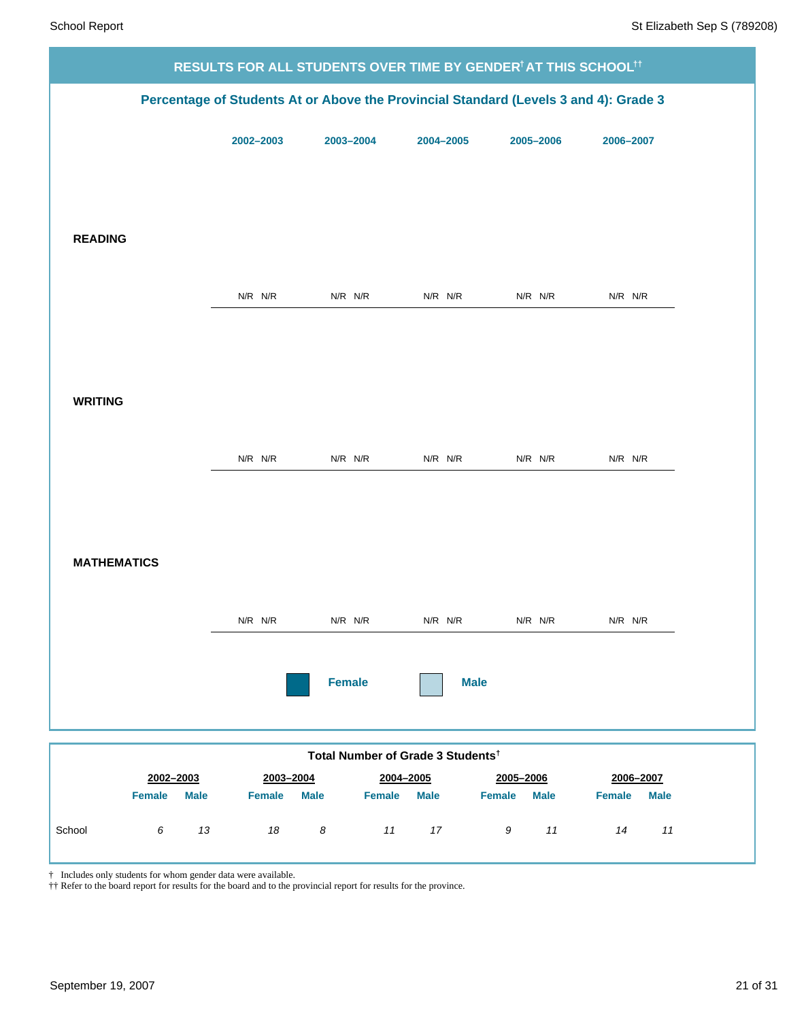|                                                                                      |               |             |               |                                               |             | RESULTS FOR ALL STUDENTS OVER TIME BY GENDER <sup>†</sup> AT THIS SCHOOL <sup>†</sup> † |                              |  |
|--------------------------------------------------------------------------------------|---------------|-------------|---------------|-----------------------------------------------|-------------|-----------------------------------------------------------------------------------------|------------------------------|--|
| Percentage of Students At or Above the Provincial Standard (Levels 3 and 4): Grade 3 |               |             |               |                                               |             |                                                                                         |                              |  |
|                                                                                      |               |             | 2002-2003     | 2003-2004                                     | 2004-2005   | 2005-2006                                                                               | 2006-2007                    |  |
|                                                                                      |               |             |               |                                               |             |                                                                                         |                              |  |
|                                                                                      |               |             |               |                                               |             |                                                                                         |                              |  |
| <b>READING</b>                                                                       |               |             |               |                                               |             |                                                                                         |                              |  |
|                                                                                      |               |             |               |                                               |             |                                                                                         |                              |  |
|                                                                                      |               |             | $N/R$ $N/R$   | $N/R$ $N/R$                                   | $N/R$ $N/R$ | N/R N/R                                                                                 | $N/R$ $N/R$                  |  |
|                                                                                      |               |             |               |                                               |             |                                                                                         |                              |  |
|                                                                                      |               |             |               |                                               |             |                                                                                         |                              |  |
| <b>WRITING</b>                                                                       |               |             |               |                                               |             |                                                                                         |                              |  |
|                                                                                      |               |             |               |                                               |             |                                                                                         |                              |  |
|                                                                                      |               |             | $N/R$ $N/R$   | $N/R$ $N/R$                                   | $N/R$ $N/R$ | $N/R$ $N/R$                                                                             | $N/R$ $N/R$                  |  |
|                                                                                      |               |             |               |                                               |             |                                                                                         |                              |  |
|                                                                                      |               |             |               |                                               |             |                                                                                         |                              |  |
| <b>MATHEMATICS</b>                                                                   |               |             |               |                                               |             |                                                                                         |                              |  |
|                                                                                      |               |             | $N/R$ $N/R$   | $N/R$ $N/R$                                   | $N/R$ $N/R$ | $N/R$ $N/R$                                                                             | N/R N/R                      |  |
|                                                                                      |               |             |               |                                               |             |                                                                                         |                              |  |
|                                                                                      |               |             |               | <b>Female</b>                                 |             | <b>Male</b>                                                                             |                              |  |
|                                                                                      |               |             |               |                                               |             |                                                                                         |                              |  |
|                                                                                      |               |             |               | Total Number of Grade 3 Students <sup>t</sup> |             |                                                                                         |                              |  |
|                                                                                      | 2002-2003     |             | 2003-2004     |                                               | 2004-2005   | 2005-2006                                                                               | 2006-2007                    |  |
|                                                                                      | <b>Female</b> | <b>Male</b> | <b>Female</b> | <b>Male</b><br><b>Female</b>                  | <b>Male</b> | <b>Female</b><br><b>Male</b>                                                            | <b>Female</b><br><b>Male</b> |  |
| School                                                                               | 6             | 13          | $18\,$        | $\boldsymbol{8}$                              | 11<br>17    | $11$<br>9                                                                               | 14<br>$11$                   |  |

† Includes only students for whom gender data were available.

†† Refer to the board report for results for the board and to the provincial report for results for the province.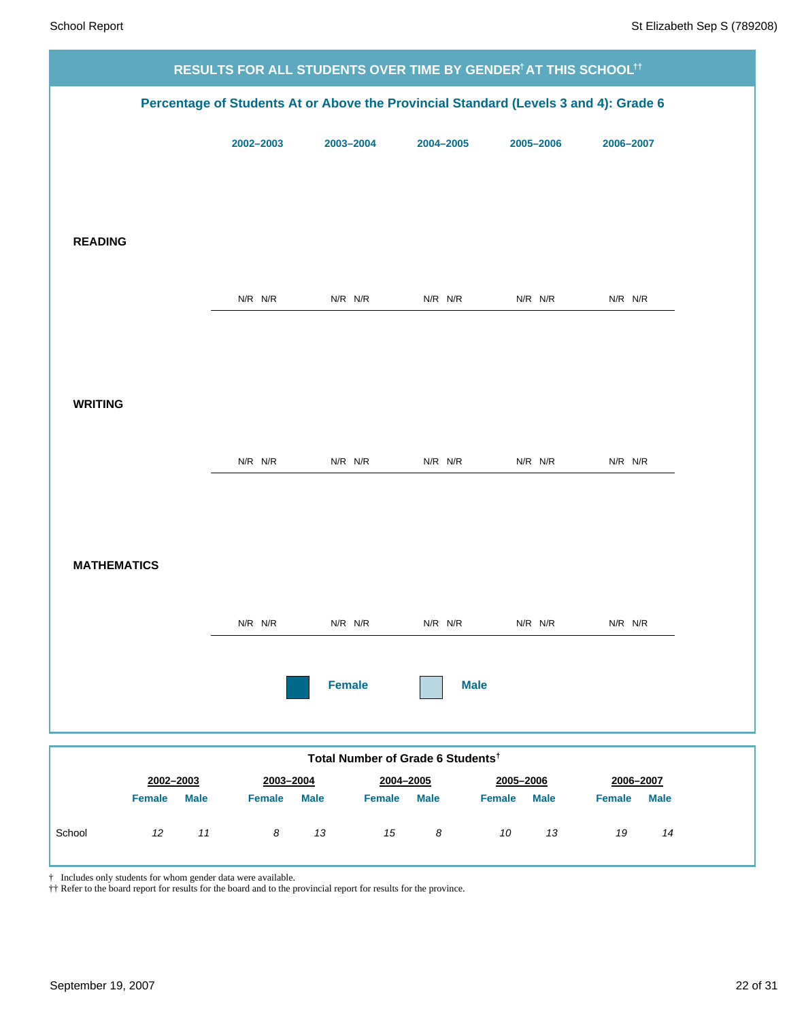|                              |               |                                               |                       | RESULTS FOR ALL STUDENTS OVER TIME BY GENDER <sup>†</sup> AT THIS SCHOOL <sup>†</sup> † |                              |
|------------------------------|---------------|-----------------------------------------------|-----------------------|-----------------------------------------------------------------------------------------|------------------------------|
|                              |               |                                               |                       | Percentage of Students At or Above the Provincial Standard (Levels 3 and 4): Grade 6    |                              |
|                              | 2002-2003     | 2003-2004                                     | 2004-2005             | 2005-2006                                                                               | 2006-2007                    |
|                              |               |                                               |                       |                                                                                         |                              |
|                              |               |                                               |                       |                                                                                         |                              |
| <b>READING</b>               |               |                                               |                       |                                                                                         |                              |
|                              | $N/R$ $N/R$   | $N/R$ $N/R$                                   | $N/R$ $N/R$           | $N/R$ $N/R$                                                                             | $N/R$ $N/R$                  |
|                              |               |                                               |                       |                                                                                         |                              |
|                              |               |                                               |                       |                                                                                         |                              |
| <b>WRITING</b>               |               |                                               |                       |                                                                                         |                              |
|                              | $N/R$ $N/R$   | $N/R$ $N/R$                                   | $N/R$ $N/R$           | $N/R$ $N/R$                                                                             | $N/R$ $N/R$                  |
|                              |               |                                               |                       |                                                                                         |                              |
|                              |               |                                               |                       |                                                                                         |                              |
| <b>MATHEMATICS</b>           |               |                                               |                       |                                                                                         |                              |
|                              | N/R N/R       | $N/R$ $N/R$                                   | $N/R$ $N/R$           | $N/R$ $N/R$                                                                             | N/R N/R                      |
|                              |               |                                               |                       |                                                                                         |                              |
|                              |               | <b>Female</b>                                 | <b>Male</b>           |                                                                                         |                              |
|                              |               |                                               |                       |                                                                                         |                              |
| 2002-2003                    | 2003-2004     | Total Number of Grade 6 Students <sup>†</sup> | 2004-2005             | 2005-2006                                                                               | 2006-2007                    |
| <b>Female</b><br><b>Male</b> | <b>Female</b> | <b>Male</b><br><b>Female</b>                  | <b>Male</b>           | Female<br><b>Male</b>                                                                   | <b>Male</b><br><b>Female</b> |
| 12<br>11<br>School           | $\pmb{8}$     | 13<br>15                                      | $\boldsymbol{\delta}$ | 13<br>10                                                                                | 19<br>14                     |

† Includes only students for whom gender data were available.

†† Refer to the board report for results for the board and to the provincial report for results for the province.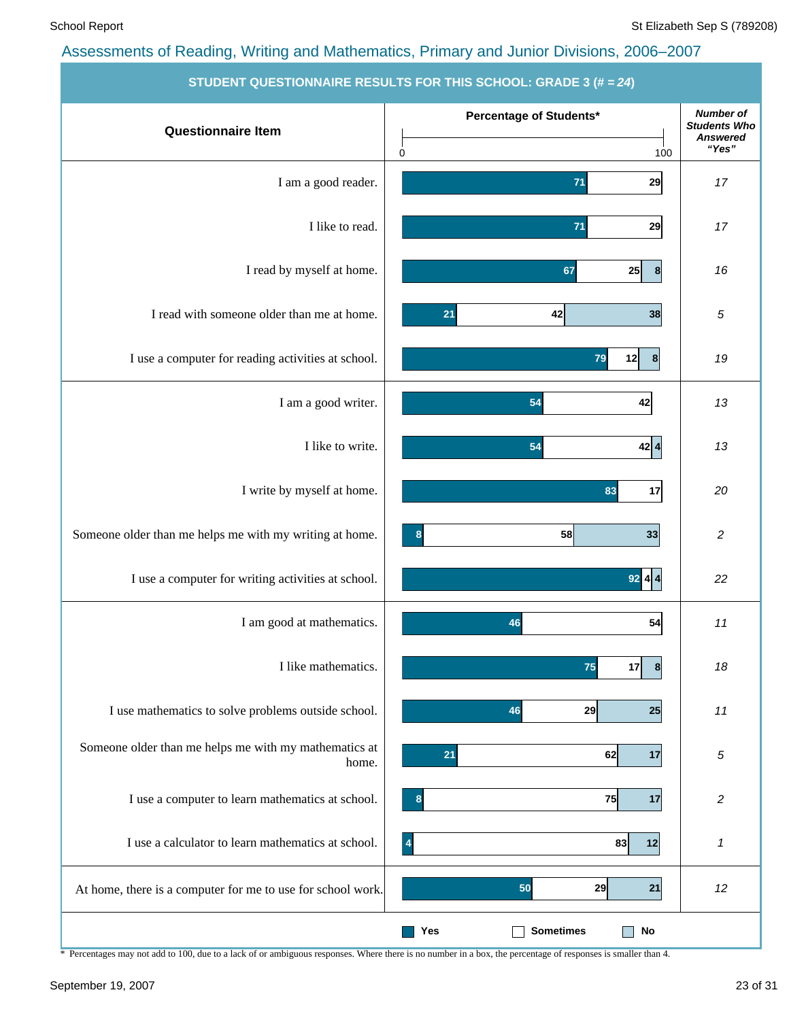|                                                                | STUDENT QUESTIONNAIRE RESULTS FOR THIS SCHOOL: GRADE 3 (# = 24) |                                                     |
|----------------------------------------------------------------|-----------------------------------------------------------------|-----------------------------------------------------|
| <b>Questionnaire Item</b>                                      | Percentage of Students*                                         | <b>Number of</b><br><b>Students Who</b><br>Answered |
|                                                                | 100<br>0                                                        | "Yes"                                               |
| I am a good reader.                                            | 29<br>71                                                        | 17                                                  |
| I like to read.                                                | 71<br>29                                                        | 17                                                  |
| I read by myself at home.                                      | 25<br> 8 <br>67                                                 | 16                                                  |
| I read with someone older than me at home.                     | 42<br>38<br>21                                                  | 5                                                   |
| I use a computer for reading activities at school.             | 79<br>12<br>8                                                   | 19                                                  |
| I am a good writer.                                            | 54<br>42                                                        | 13                                                  |
| I like to write.                                               | 42 4<br>54                                                      | 13                                                  |
| I write by myself at home.                                     | 17<br>83                                                        | 20                                                  |
| Someone older than me helps me with my writing at home.        | 58<br>33<br>8                                                   | 2                                                   |
| I use a computer for writing activities at school.             | $92$ 4 4                                                        | 22                                                  |
| I am good at mathematics.                                      | 54<br>46                                                        | 11                                                  |
| I like mathematics.                                            | 75<br>17<br> 8                                                  | 18                                                  |
| I use mathematics to solve problems outside school.            | 29<br>25<br>46                                                  | 11                                                  |
| Someone older than me helps me with my mathematics at<br>home. | 21<br>62<br>17                                                  | 5                                                   |
| I use a computer to learn mathematics at school.               | 75<br>17<br>8                                                   | 2                                                   |
| I use a calculator to learn mathematics at school.             | $\overline{4}$<br>83<br>12                                      | 1                                                   |
| At home, there is a computer for me to use for school work.    | 29<br>21<br>50                                                  | 12                                                  |
|                                                                | <b>Sometimes</b><br>No<br>Yes<br>- I                            |                                                     |

**STUDENT QUESTIONNAIRE RESULTS FOR THIS SCHOOL: GRADE 3 (# =** *24***)**

\* Percentages may not add to 100, due to a lack of or ambiguous responses. Where there is no number in a box, the percentage of responses is smaller than 4.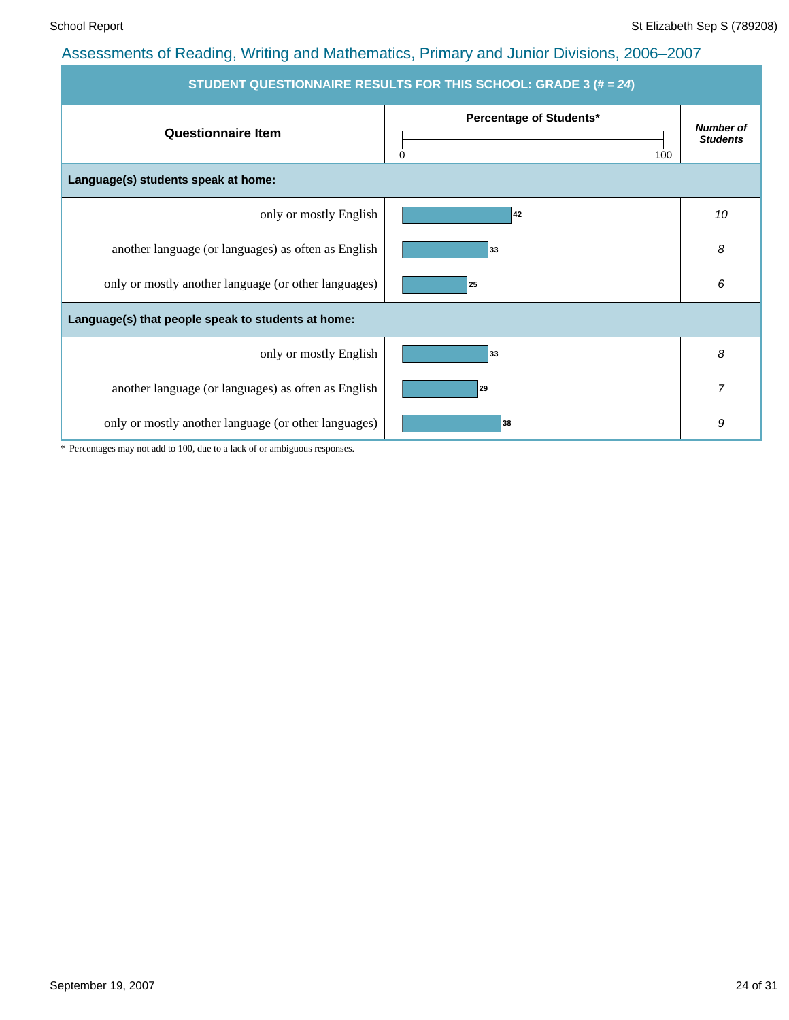| <b>STUDENT QUESTIONNAIRE RESULTS FOR THIS SCHOOL: GRADE 3 (# = 24)</b> |                                            |                                     |  |  |  |  |  |  |
|------------------------------------------------------------------------|--------------------------------------------|-------------------------------------|--|--|--|--|--|--|
| <b>Questionnaire Item</b>                                              | Percentage of Students*<br>$\Omega$<br>100 | <b>Number of</b><br><b>Students</b> |  |  |  |  |  |  |
| Language(s) students speak at home:                                    |                                            |                                     |  |  |  |  |  |  |
| only or mostly English                                                 | 42                                         | 10                                  |  |  |  |  |  |  |
| another language (or languages) as often as English                    | 33                                         | 8                                   |  |  |  |  |  |  |
| only or mostly another language (or other languages)                   | 25                                         | 6                                   |  |  |  |  |  |  |
| Language(s) that people speak to students at home:                     |                                            |                                     |  |  |  |  |  |  |
| only or mostly English                                                 | 33                                         | 8                                   |  |  |  |  |  |  |
| another language (or languages) as often as English                    | 29                                         | 7                                   |  |  |  |  |  |  |
| only or mostly another language (or other languages)                   | 38                                         | 9                                   |  |  |  |  |  |  |

\* Percentages may not add to 100, due to a lack of or ambiguous responses.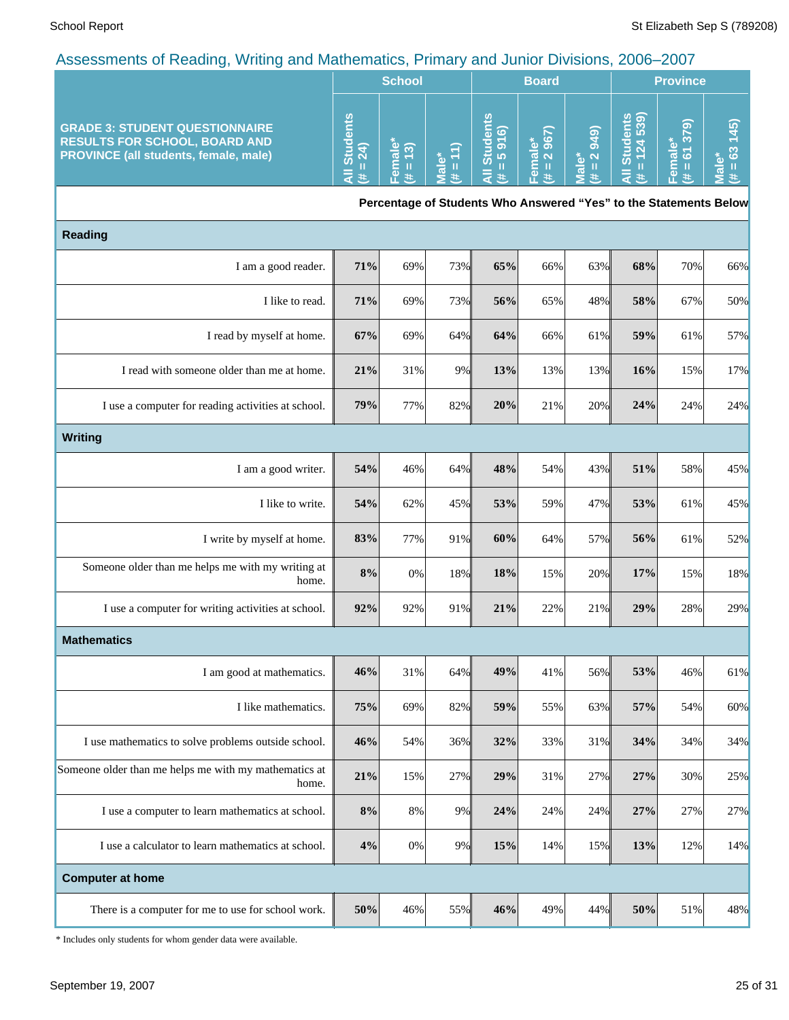| -<br>$\tilde{\phantom{a}}$                                                                                                    |                                                      |                                        |                       |                                                |                       |                                         |                     |                                                                 |           |
|-------------------------------------------------------------------------------------------------------------------------------|------------------------------------------------------|----------------------------------------|-----------------------|------------------------------------------------|-----------------------|-----------------------------------------|---------------------|-----------------------------------------------------------------|-----------|
|                                                                                                                               |                                                      | <b>School</b>                          |                       | <b>Board</b>                                   |                       |                                         | <b>Province</b>     |                                                                 |           |
| <b>GRADE 3: STUDENT QUESTIONNAIRE</b><br><b>RESULTS FOR SCHOOL, BOARD AND</b><br><b>PROVINCE (all students, female, male)</b> | ⊻<br>$\overline{\mathbf{a}}$<br>o<br>$\frac{54}{24}$ | <u> ೬ ೪</u><br>$\overline{\mathbf{c}}$ | $\boldsymbol{\sigma}$ | ū<br>$\widehat{\omega}$<br>പ<br><b>LO</b><br>あ | മൈ<br>$\sigma$ $\sim$ | ெ<br>÷<br>$\sigma$<br>$\mathbf{\Omega}$ | க<br>Ø.<br>t•)<br>あ | $\widehat{\infty}$<br>$\infty$<br>$\mathbf{\sigma}$<br>ιo<br>σ. | <u>in</u> |

**Percentage of Students Who Answered "Yes" to the Statements Below**

| <b>Reading</b>                                                 |        |       |     |     |     |     |     |     |     |
|----------------------------------------------------------------|--------|-------|-----|-----|-----|-----|-----|-----|-----|
| I am a good reader.                                            | 71%    | 69%   | 73% | 65% | 66% | 63% | 68% | 70% | 66% |
| I like to read.                                                | 71%    | 69%   | 73% | 56% | 65% | 48% | 58% | 67% | 50% |
| I read by myself at home.                                      | 67%    | 69%   | 64% | 64% | 66% | 61% | 59% | 61% | 57% |
| I read with someone older than me at home.                     | 21%    | 31%   | 9%  | 13% | 13% | 13% | 16% | 15% | 17% |
| I use a computer for reading activities at school.             | 79%    | 77%   | 82% | 20% | 21% | 20% | 24% | 24% | 24% |
| <b>Writing</b>                                                 |        |       |     |     |     |     |     |     |     |
| I am a good writer.                                            | 54%    | 46%   | 64% | 48% | 54% | 43% | 51% | 58% | 45% |
| I like to write.                                               | 54%    | 62%   | 45% | 53% | 59% | 47% | 53% | 61% | 45% |
| I write by myself at home.                                     | 83%    | 77%   | 91% | 60% | 64% | 57% | 56% | 61% | 52% |
| Someone older than me helps me with my writing at<br>home.     | 8%     | 0%    | 18% | 18% | 15% | 20% | 17% | 15% | 18% |
| I use a computer for writing activities at school.             | 92%    | 92%   | 91% | 21% | 22% | 21% | 29% | 28% | 29% |
| <b>Mathematics</b>                                             |        |       |     |     |     |     |     |     |     |
| I am good at mathematics.                                      | 46%    | 31%   | 64% | 49% | 41% | 56% | 53% | 46% | 61% |
| I like mathematics.                                            | 75%    | 69%   | 82% | 59% | 55% | 63% | 57% | 54% | 60% |
| I use mathematics to solve problems outside school.            | 46%    | 54%   | 36% | 32% | 33% | 31% | 34% | 34% | 34% |
| Someone older than me helps me with my mathematics at<br>home. | 21%    | 15%   | 27% | 29% | 31% | 27% | 27% | 30% | 25% |
| I use a computer to learn mathematics at school.               | $8\%$  | $8\%$ | 9%  | 24% | 24% | 24% | 27% | 27% | 27% |
| I use a calculator to learn mathematics at school.             | 4%     | $0\%$ | 9%  | 15% | 14% | 15% | 13% | 12% | 14% |
| <b>Computer at home</b>                                        |        |       |     |     |     |     |     |     |     |
| There is a computer for me to use for school work.             | $50\%$ | 46%   | 55% | 46% | 49% | 44% | 50% | 51% | 48% |

\* Includes only students for whom gender data were available.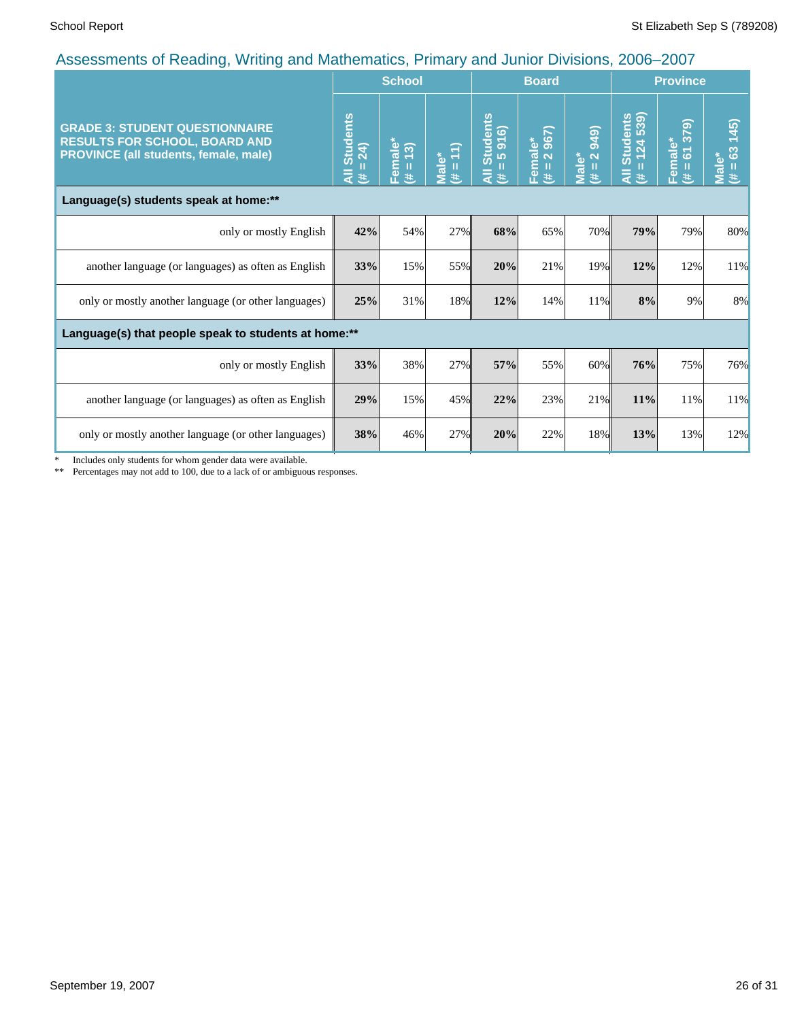|                                                                                                                        |                                      | <b>School</b>                   |                      |                                             | <b>Board</b>                                         |                                      |                                               | <b>Province</b>                            |                                      |
|------------------------------------------------------------------------------------------------------------------------|--------------------------------------|---------------------------------|----------------------|---------------------------------------------|------------------------------------------------------|--------------------------------------|-----------------------------------------------|--------------------------------------------|--------------------------------------|
| <b>GRADE 3: STUDENT QUESTIONNAIRE</b><br><b>RESULTS FOR SCHOOL, BOARD AND</b><br>PROVINCE (all students, female, male) | <b>Students</b><br>$= 24$<br>₹<br>y. | Female <sup>*</sup><br>(# = 13) | $= 11$<br>Male*<br>巷 | Students<br>= 5 916)<br>п<br>$\bar{a}$<br>违 | 967)<br>Female*<br>$\overline{\mathbf{N}}$<br>Ш<br>共 | 2 949)<br>Male*<br>$\mathbf{H}$<br>巷 | Students<br>= 124 539)<br>Ш<br>$\bar{a}$<br>违 | 379<br>Female*<br>$\overline{6}$<br>Ш<br>共 | (45)<br>63<br><b>Male*</b><br>Ш<br>巷 |
| Language(s) students speak at home:**                                                                                  |                                      |                                 |                      |                                             |                                                      |                                      |                                               |                                            |                                      |
| only or mostly English                                                                                                 | 42%                                  | 54%                             | 27%                  | 68%                                         | 65%                                                  | 70%                                  | 79%                                           | 79%                                        | 80%                                  |
| another language (or languages) as often as English                                                                    | 33%                                  | 15%                             | 55%                  | 20%                                         | 21%                                                  | 19%                                  | 12%                                           | 12%                                        | 11%                                  |
| only or mostly another language (or other languages)                                                                   | 25%                                  | 31%                             | 18%                  | 12%                                         | 14%                                                  | 11%                                  | $8\%$                                         | 9%                                         | 8%                                   |
| Language(s) that people speak to students at home:**                                                                   |                                      |                                 |                      |                                             |                                                      |                                      |                                               |                                            |                                      |
| only or mostly English                                                                                                 | 33%                                  | 38%                             | 27%                  | 57%                                         | 55%                                                  | 60%                                  | 76%                                           | 75%                                        | 76%                                  |
| another language (or languages) as often as English                                                                    | 29%                                  | 15%                             | 45%                  | 22%                                         | 23%                                                  | 21%                                  | 11%                                           | 11%                                        | 11%                                  |
| only or mostly another language (or other languages)                                                                   | 38%                                  | 46%                             | 27%                  | 20%                                         | 22%                                                  | 18%                                  | 13%                                           | 13%                                        | 12%                                  |

\* Includes only students for whom gender data were available.

\*\* Percentages may not add to 100, due to a lack of or ambiguous responses.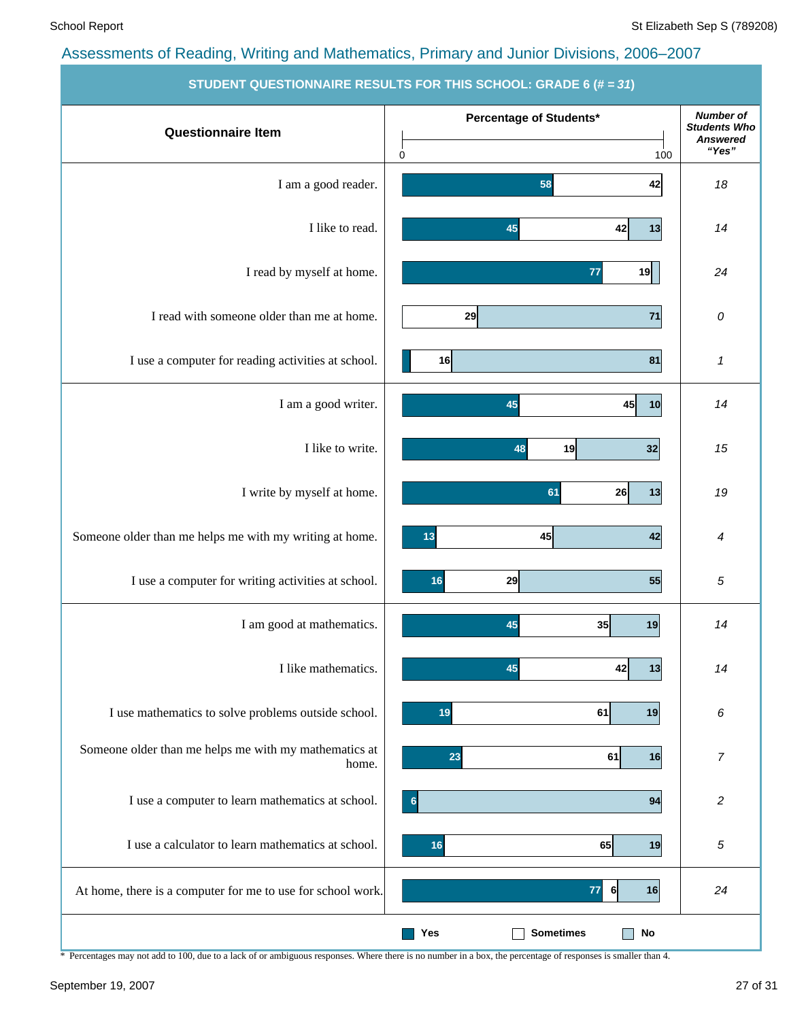|                                                                | 310DENT QUESTIONNAINE NESUETS FON THIS SUITOUE. GNADE 0 (# = 37) |                                                                     |
|----------------------------------------------------------------|------------------------------------------------------------------|---------------------------------------------------------------------|
| <b>Questionnaire Item</b>                                      | Percentage of Students*<br>0<br>100                              | <b>Number of</b><br><b>Students Who</b><br><b>Answered</b><br>"Yes" |
| I am a good reader.                                            | 58<br>42                                                         | 18                                                                  |
| I like to read.                                                | 42<br>13<br>45                                                   | 14                                                                  |
| I read by myself at home.                                      | 19<br>77                                                         | 24                                                                  |
| I read with someone older than me at home.                     | 29<br>$71$                                                       | 0                                                                   |
| I use a computer for reading activities at school.             | 81<br>16                                                         | 1                                                                   |
| I am a good writer.                                            | 45<br>10<br>45                                                   | 14                                                                  |
| I like to write.                                               | 32<br>19<br>48                                                   | 15                                                                  |
| I write by myself at home.                                     | 61<br>26<br>13                                                   | 19                                                                  |
| Someone older than me helps me with my writing at home.        | 42<br>13<br>45                                                   | 4                                                                   |
| I use a computer for writing activities at school.             | 55<br>16<br>29                                                   | 5                                                                   |
| I am good at mathematics.                                      | 45<br>35<br>19                                                   | 14                                                                  |
| I like mathematics.                                            | 45<br>42<br> 13                                                  | 14                                                                  |
| I use mathematics to solve problems outside school.            | 19<br>61<br>19                                                   | 6                                                                   |
| Someone older than me helps me with my mathematics at<br>home. | 61<br>16<br>23                                                   | $\boldsymbol{7}$                                                    |
| I use a computer to learn mathematics at school.               | 94<br>6                                                          | $\overline{\mathbf{c}}$                                             |
| I use a calculator to learn mathematics at school.             | 65<br>19<br>16                                                   | 5                                                                   |
| At home, there is a computer for me to use for school work.    | 77<br>16<br>6                                                    | 24                                                                  |
|                                                                | <b>Sometimes</b><br><b>No</b><br>Yes                             |                                                                     |

**STUDENT QUESTIONNAIRE RESULTS FOR THIS SCHOOL: GRADE** 

\* Percentages may not add to 100, due to a lack of or ambiguous responses. Where there is no number in a box, the percentage of responses is smaller than 4.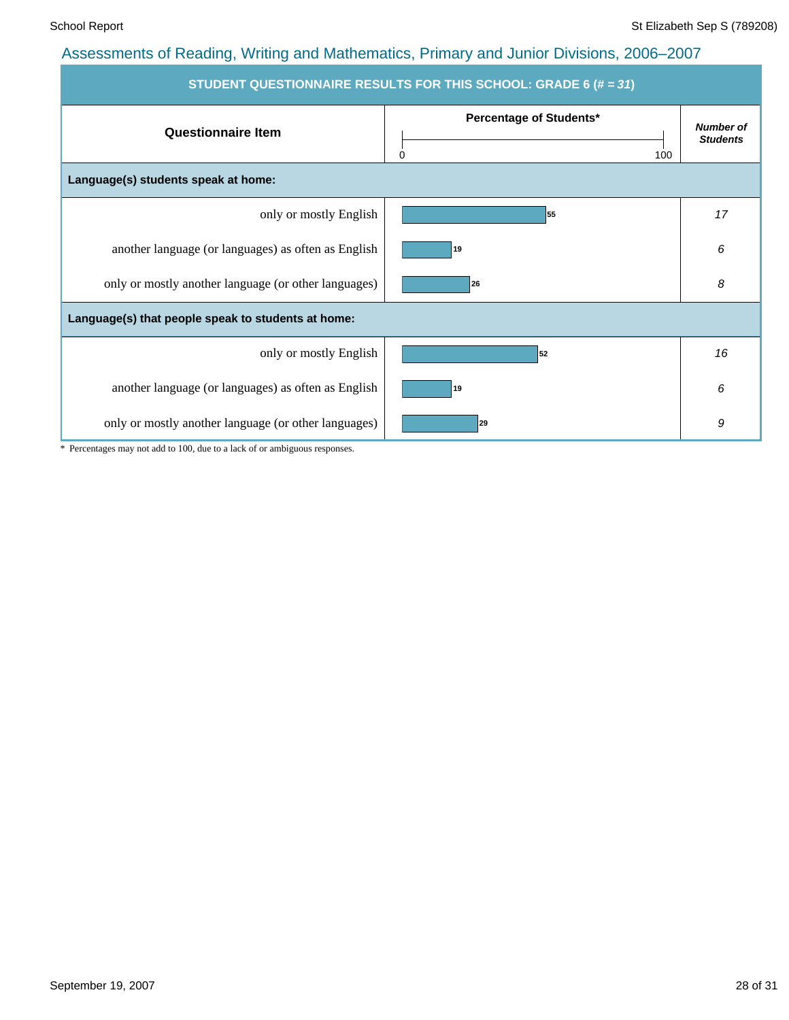| STUDENT QUESTIONNAIRE RESULTS FOR THIS SCHOOL: GRADE 6 (# = 31) |                                     |                                     |  |  |  |  |  |  |
|-----------------------------------------------------------------|-------------------------------------|-------------------------------------|--|--|--|--|--|--|
| <b>Questionnaire Item</b>                                       | Percentage of Students*<br>100<br>0 | <b>Number of</b><br><b>Students</b> |  |  |  |  |  |  |
| Language(s) students speak at home:                             |                                     |                                     |  |  |  |  |  |  |
| only or mostly English                                          | 55                                  | 17                                  |  |  |  |  |  |  |
| another language (or languages) as often as English             | 19                                  | 6                                   |  |  |  |  |  |  |
| only or mostly another language (or other languages)            | 26                                  | 8                                   |  |  |  |  |  |  |
| Language(s) that people speak to students at home:              |                                     |                                     |  |  |  |  |  |  |
| only or mostly English                                          | 52                                  | 16                                  |  |  |  |  |  |  |
| another language (or languages) as often as English             | 19                                  | 6                                   |  |  |  |  |  |  |
| only or mostly another language (or other languages)            | 29                                  | 9                                   |  |  |  |  |  |  |

\* Percentages may not add to 100, due to a lack of or ambiguous responses.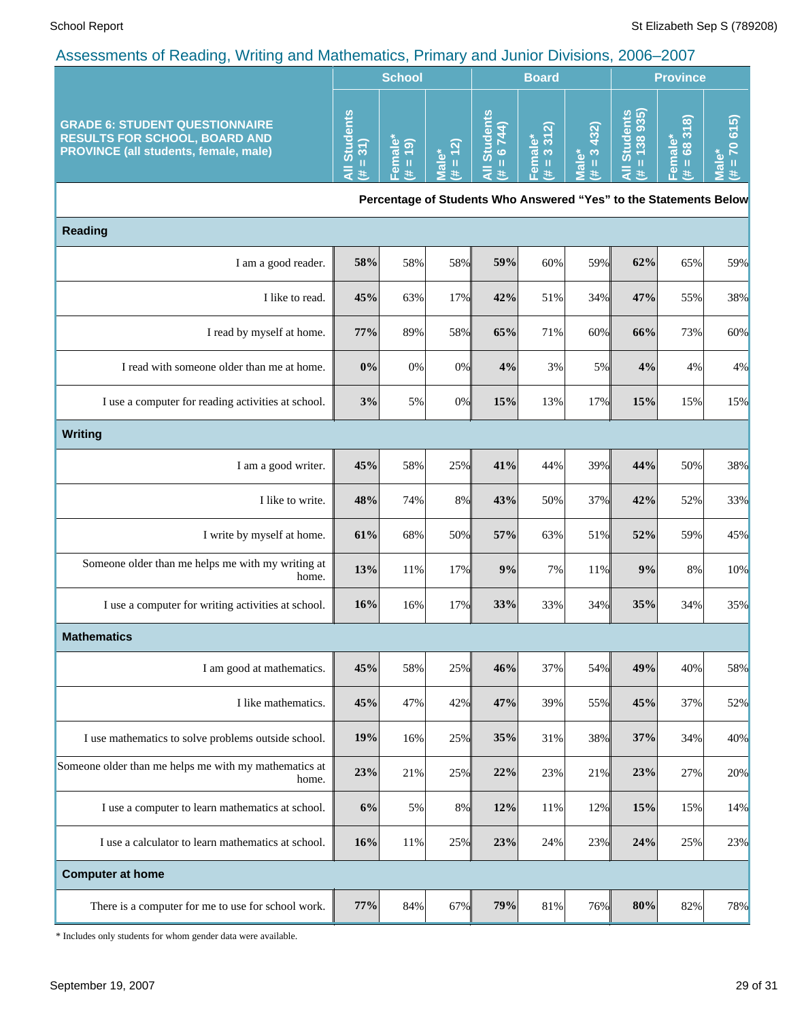|                                                                                                                               | <b>School</b>                                 |                                    |                             | <b>Board</b>                                                      |                                   |                        | <b>Province</b>               |                                   |                                                                  |
|-------------------------------------------------------------------------------------------------------------------------------|-----------------------------------------------|------------------------------------|-----------------------------|-------------------------------------------------------------------|-----------------------------------|------------------------|-------------------------------|-----------------------------------|------------------------------------------------------------------|
| <b>GRADE 6: STUDENT QUESTIONNAIRE</b><br><b>RESULTS FOR SCHOOL, BOARD AND</b><br><b>PROVINCE (all students, female, male)</b> | <b>Students</b><br>$= 31$ )<br>$\bar{a}$<br>进 | Female <sup>*</sup><br>$= 19$<br>主 | $= 12$<br><b>Male*</b><br>共 | <b>Students</b><br>$= 6744$<br>$\bar{a}$<br>主                     | $= 3312$<br>Female*<br>(# = 3 31) | $= 3432$<br>Male*<br>共 | All Students<br>(# = 138 935) | 68318)<br>Female*<br>$\,$ II<br>违 | 615<br><b>P</b><br>ۜ٥<br>$\rm H$<br>$\overline{\mathbf{c}}$<br>进 |
|                                                                                                                               |                                               |                                    |                             | Percentage of Students Who Answered "Yes" to the Statements Below |                                   |                        |                               |                                   |                                                                  |
| <b>Reading</b>                                                                                                                |                                               |                                    |                             |                                                                   |                                   |                        |                               |                                   |                                                                  |
| I am a good reader.                                                                                                           | 58%                                           | 58%                                | 58%                         | 59%                                                               | 60%                               | 59%                    | 62%                           | 65%                               | 59%                                                              |
| I like to read.                                                                                                               | 45%                                           | 63%                                | 17%                         | 42%                                                               | 51%                               | 34%                    | 47%                           | 55%                               | 38%                                                              |
| I read by myself at home.                                                                                                     | 77%                                           | 89%                                | 58%                         | 65%                                                               | 71%                               | 60%                    | 66%                           | 73%                               | 60%                                                              |
| I read with someone older than me at home.                                                                                    | 0%                                            | $0\%$                              | 0%                          | 4%                                                                | 3%                                | 5%                     | 4%                            | 4%                                | 4%                                                               |
| I use a computer for reading activities at school.                                                                            | 3%                                            | 5%                                 | 0%                          | 15%                                                               | 13%                               | 17%                    | 15%                           | 15%                               | 15%                                                              |
| <b>Writing</b>                                                                                                                |                                               |                                    |                             |                                                                   |                                   |                        |                               |                                   |                                                                  |
| I am a good writer.                                                                                                           | 45%                                           | 58%                                | 25%                         | 41%                                                               | 44%                               | 39%                    | 44%                           | 50%                               | 38%                                                              |
| I like to write.                                                                                                              | 48%                                           | 74%                                | 8%                          | 43%                                                               | 50%                               | 37%                    | 42%                           | 52%                               | 33%                                                              |
| I write by myself at home.                                                                                                    | 61%                                           | 68%                                | 50%                         | 57%                                                               | 63%                               | 51%                    | 52%                           | 59%                               | 45%                                                              |
| Someone older than me helps me with my writing at<br>home.                                                                    | 13%                                           | 11%                                | 17%                         | 9%                                                                | 7%                                | 11%                    | 9%                            | $8\%$                             | 10%                                                              |
| I use a computer for writing activities at school.                                                                            | 16%                                           | 16%                                | 17%                         | 33%                                                               | 33%                               | 34%                    | 35%                           | 34%                               | 35%                                                              |
| <b>Mathematics</b>                                                                                                            |                                               |                                    |                             |                                                                   |                                   |                        |                               |                                   |                                                                  |
| I am good at mathematics.                                                                                                     | 45%                                           | 58%                                | 25%                         | 46%                                                               | 37%                               | 54%                    | 49%                           | 40%                               | 58%                                                              |
| I like mathematics.                                                                                                           | 45%                                           | 47%                                | 42%                         | 47%                                                               | 39%                               | 55%                    | 45%                           | 37%                               | 52%                                                              |
| I use mathematics to solve problems outside school.                                                                           | 19%                                           | 16%                                | 25%                         | 35%                                                               | 31%                               | 38%                    | 37%                           | 34%                               | 40%                                                              |
| Someone older than me helps me with my mathematics at<br>home.                                                                | 23%                                           | 21%                                | 25%                         | 22%                                                               | 23%                               | 21%                    | 23%                           | 27%                               | 20%                                                              |
| I use a computer to learn mathematics at school.                                                                              | 6%                                            | 5%                                 | 8%                          | 12%                                                               | 11%                               | 12%                    | 15%                           | 15%                               | 14%                                                              |
| I use a calculator to learn mathematics at school.                                                                            | 16%                                           | 11%                                | 25%                         | 23%                                                               | 24%                               | 23%                    | 24%                           | 25%                               | 23%                                                              |
| <b>Computer at home</b>                                                                                                       |                                               |                                    |                             |                                                                   |                                   |                        |                               |                                   |                                                                  |
| There is a computer for me to use for school work.                                                                            | $77\%$                                        | 84%                                | 67%                         | 79%                                                               | $81\%$                            | 76%                    | 80%                           | 82%                               | 78%                                                              |

\* Includes only students for whom gender data were available.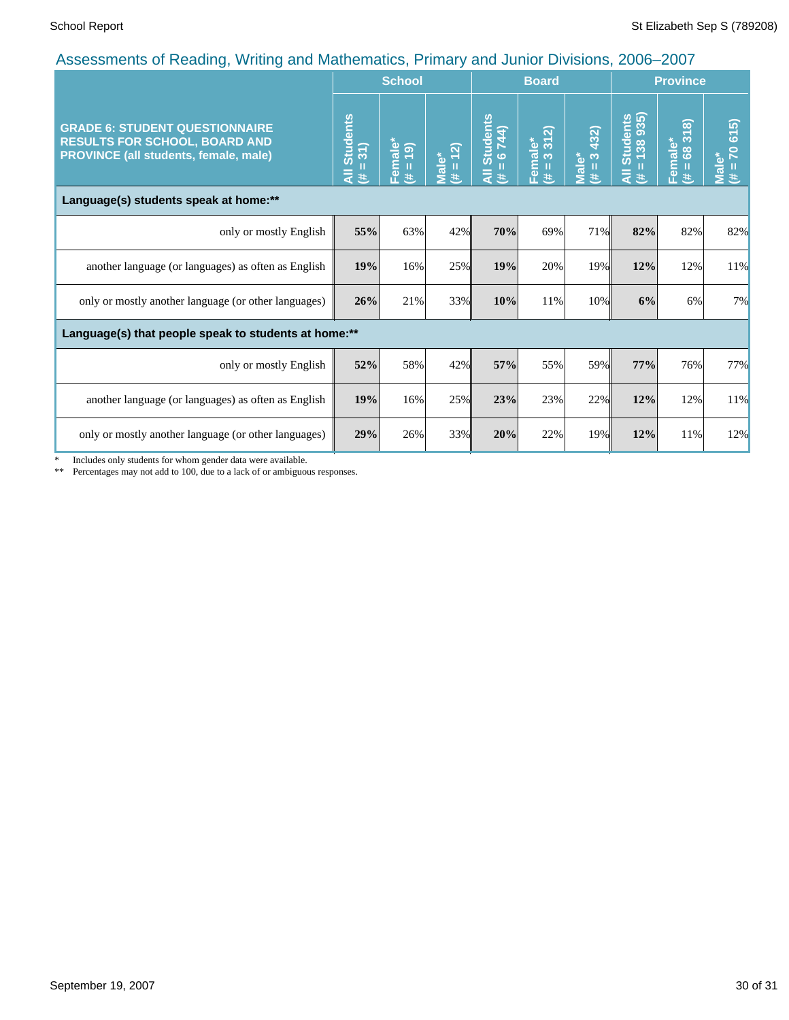|                                                                                                                               | recocomonto or reduing, rriting and mathomatico, i minary and cumor Britishio, 2000<br><b>School</b> |                     |                                  | <b>Board</b>                                    |                             |                                                       | <b>Province</b>                               |                                |                                        |
|-------------------------------------------------------------------------------------------------------------------------------|------------------------------------------------------------------------------------------------------|---------------------|----------------------------------|-------------------------------------------------|-----------------------------|-------------------------------------------------------|-----------------------------------------------|--------------------------------|----------------------------------------|
| <b>GRADE 6: STUDENT QUESTIONNAIRE</b><br><b>RESULTS FOR SCHOOL, BOARD AND</b><br><b>PROVINCE (all students, female, male)</b> | <b>Students</b><br>$= 31$<br>$\bar{a}$<br>y.                                                         | Female*<br>(# = 19) | $= 12$<br>Male <sup>*</sup><br>违 | <b>Students</b><br>6744)<br>п<br>$\bar{a}$<br>违 | Female*<br>$(\# = 3 \ 312)$ | 432)<br>$\infty$<br><b>Male*</b><br>$\mathbf{H}$<br>共 | Students<br>= 138 935)<br>п<br>$\bar{a}$<br>进 | 318<br>Female*<br>$(\# = 683)$ | 70 615)<br>Male <sup>®</sup><br>Ш<br>违 |
| Language(s) students speak at home:**                                                                                         |                                                                                                      |                     |                                  |                                                 |                             |                                                       |                                               |                                |                                        |
| only or mostly English                                                                                                        | 55%                                                                                                  | 63%                 | 42%                              | 70%                                             | 69%                         | 71%                                                   | 82%                                           | 82%                            | 82%                                    |
| another language (or languages) as often as English                                                                           | 19%                                                                                                  | 16%                 | 25%                              | 19%                                             | 20%                         | 19%                                                   | 12%                                           | 12%                            | 11%                                    |
| only or mostly another language (or other languages)                                                                          | 26%                                                                                                  | 21%                 | 33%                              | 10%                                             | 11%                         | 10%                                                   | 6%                                            | 6%                             | 7%                                     |
| Language(s) that people speak to students at home:**                                                                          |                                                                                                      |                     |                                  |                                                 |                             |                                                       |                                               |                                |                                        |
| only or mostly English                                                                                                        | 52%                                                                                                  | 58%                 | 42%                              | 57%                                             | 55%                         | 59%                                                   | 77%                                           | 76%                            | 77%                                    |
| another language (or languages) as often as English                                                                           | 19%                                                                                                  | 16%                 | 25%                              | 23%                                             | 23%                         | 22%                                                   | 12%                                           | 12%                            | 11%                                    |
| only or mostly another language (or other languages)                                                                          | 29%                                                                                                  | 26%                 | 33%                              | 20%                                             | 22%                         | 19%                                                   | 12%                                           | 11%                            | 12%                                    |

\* Includes only students for whom gender data were available.

\*\* Percentages may not add to 100, due to a lack of or ambiguous responses.